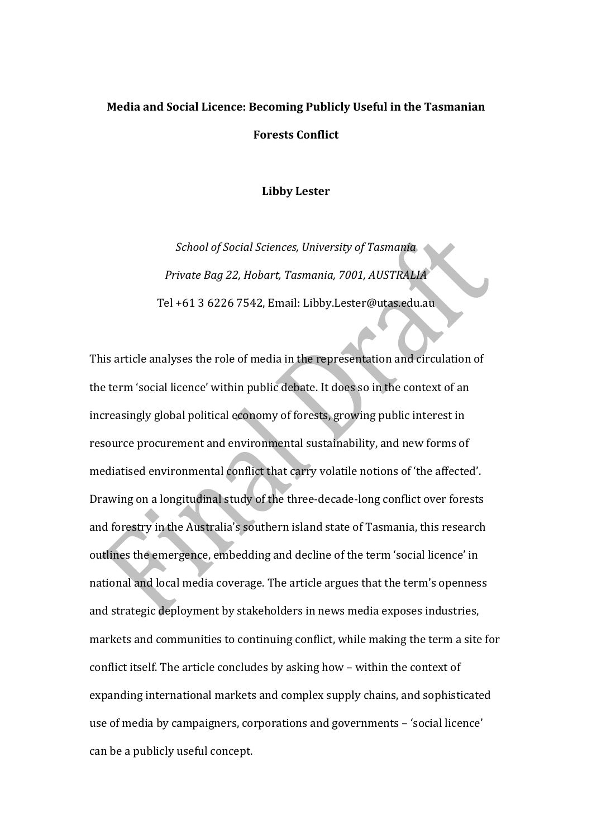# **Media and Social Licence: Becoming Publicly Useful in the Tasmanian Forests Conflict**

#### **Libby Lester**

*School of Social Sciences, University of Tasmania Private Bag 22, Hobart, Tasmania, 7001, AUSTRALIA* Tel +61 3 6226 7542, Email: Libby.Lester@utas.edu.au

This article analyses the role of media in the representation and circulation of the term 'social licence' within public debate. It does so in the context of an increasingly global political economy of forests, growing public interest in resource procurement and environmental sustainability, and new forms of mediatised environmental conflict that carry volatile notions of 'the affected'. Drawing on a longitudinal study of the three-decade-long conflict over forests and forestry in the Australia's southern island state of Tasmania, this research outlines the emergence, embedding and decline of the term 'social licence' in national and local media coverage. The article argues that the term's openness and strategic deployment by stakeholders in news media exposes industries, markets and communities to continuing conflict, while making the term a site for conflict itself. The article concludes by asking how - within the context of expanding international markets and complex supply chains, and sophisticated use of media by campaigners, corporations and governments - 'social licence' can be a publicly useful concept.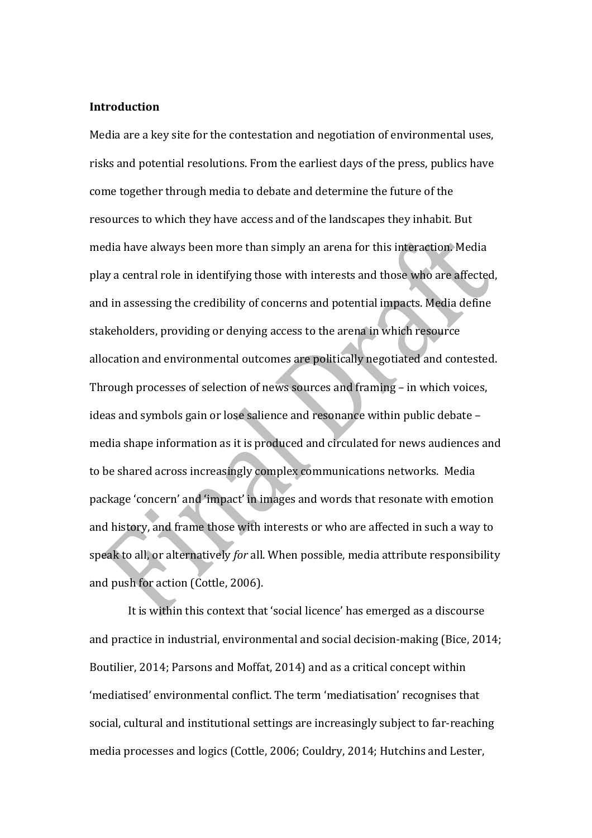# **Introduction**

Media are a key site for the contestation and negotiation of environmental uses, risks and potential resolutions. From the earliest days of the press, publics have come together through media to debate and determine the future of the resources to which they have access and of the landscapes they inhabit. But media have always been more than simply an arena for this interaction. Media play a central role in identifying those with interests and those who are affected, and in assessing the credibility of concerns and potential impacts. Media define stakeholders, providing or denying access to the arena in which resource allocation and environmental outcomes are politically negotiated and contested. Through processes of selection of news sources and framing – in which voices, ideas and symbols gain or lose salience and resonance within public debate media shape information as it is produced and circulated for news audiences and to be shared across increasingly complex communications networks. Media package 'concern' and 'impact' in images and words that resonate with emotion and history, and frame those with interests or who are affected in such a way to speak to all, or alternatively *for* all. When possible, media attribute responsibility and push for action (Cottle, 2006).

It is within this context that 'social licence' has emerged as a discourse and practice in industrial, environmental and social decision-making (Bice, 2014; Boutilier, 2014; Parsons and Moffat, 2014) and as a critical concept within 'mediatised' environmental conflict. The term 'mediatisation' recognises that social, cultural and institutional settings are increasingly subject to far-reaching media processes and logics (Cottle, 2006; Couldry, 2014; Hutchins and Lester,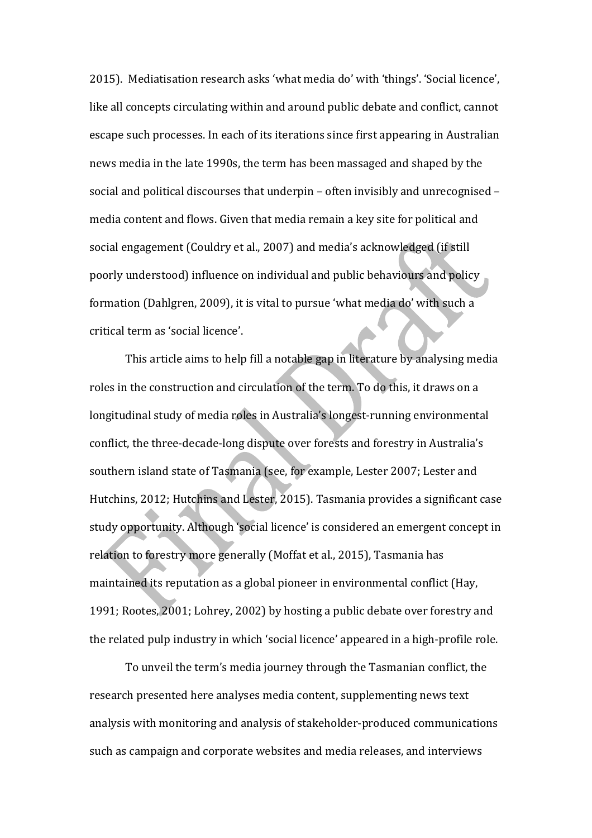2015). Mediatisation research asks 'what media do' with 'things'. 'Social licence', like all concepts circulating within and around public debate and conflict, cannot escape such processes. In each of its iterations since first appearing in Australian news media in the late 1990s, the term has been massaged and shaped by the social and political discourses that underpin  $-$  often invisibly and unrecognised  $$ media content and flows. Given that media remain a key site for political and social engagement (Couldry et al., 2007) and media's acknowledged (if still poorly understood) influence on individual and public behaviours and policy formation (Dahlgren, 2009), it is vital to pursue 'what media do' with such a critical term as 'social licence'.

This article aims to help fill a notable gap in literature by analysing media roles in the construction and circulation of the term. To do this, it draws on a longitudinal study of media roles in Australia's longest-running environmental conflict, the three-decade-long dispute over forests and forestry in Australia's southern island state of Tasmania (see, for example, Lester 2007; Lester and Hutchins, 2012; Hutchins and Lester, 2015). Tasmania provides a significant case study opportunity. Although 'social licence' is considered an emergent concept in relation to forestry more generally (Moffat et al., 2015), Tasmania has maintained its reputation as a global pioneer in environmental conflict (Hay, 1991; Rootes, 2001; Lohrey, 2002) by hosting a public debate over forestry and the related pulp industry in which 'social licence' appeared in a high-profile role.

To unveil the term's media journey through the Tasmanian conflict, the research presented here analyses media content, supplementing news text analysis with monitoring and analysis of stakeholder-produced communications such as campaign and corporate websites and media releases, and interviews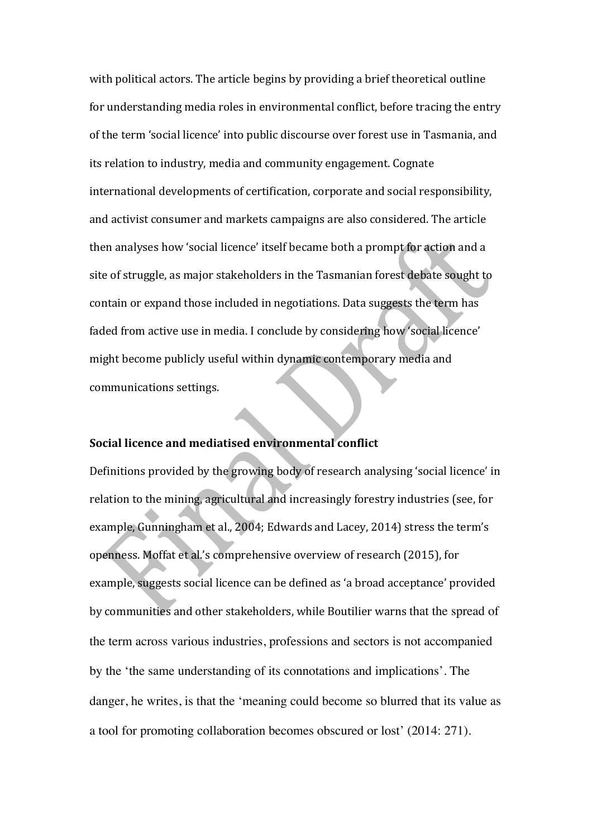with political actors. The article begins by providing a brief theoretical outline for understanding media roles in environmental conflict, before tracing the entry of the term 'social licence' into public discourse over forest use in Tasmania, and its relation to industry, media and community engagement. Cognate international developments of certification, corporate and social responsibility, and activist consumer and markets campaigns are also considered. The article then analyses how 'social licence' itself became both a prompt for action and a site of struggle, as major stakeholders in the Tasmanian forest debate sought to contain or expand those included in negotiations. Data suggests the term has faded from active use in media. I conclude by considering how 'social licence' might become publicly useful within dynamic contemporary media and communications settings.

# **Social licence and mediatised environmental conflict**

Definitions provided by the growing body of research analysing 'social licence' in relation to the mining, agricultural and increasingly forestry industries (see, for example, Gunningham et al., 2004; Edwards and Lacey, 2014) stress the term's openness. Moffat et al.'s comprehensive overview of research (2015), for example, suggests social licence can be defined as 'a broad acceptance' provided by communities and other stakeholders, while Boutilier warns that the spread of the term across various industries, professions and sectors is not accompanied by the 'the same understanding of its connotations and implications'. The danger, he writes, is that the 'meaning could become so blurred that its value as a tool for promoting collaboration becomes obscured or lost' (2014: 271).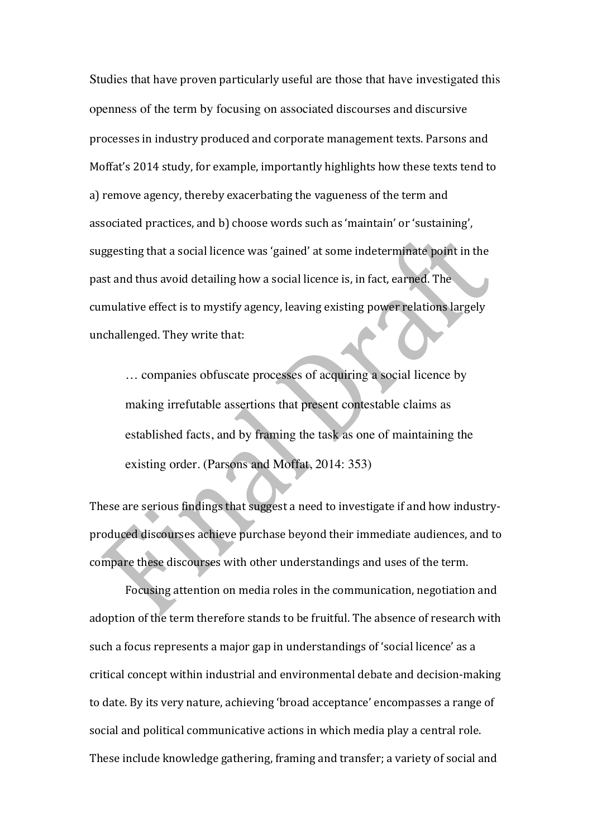Studies that have proven particularly useful are those that have investigated this openness of the term by focusing on associated discourses and discursive processes in industry produced and corporate management texts. Parsons and Moffat's 2014 study, for example, importantly highlights how these texts tend to a) remove agency, thereby exacerbating the vagueness of the term and associated practices, and b) choose words such as 'maintain' or 'sustaining', suggesting that a social licence was 'gained' at some indeterminate point in the past and thus avoid detailing how a social licence is, in fact, earned. The cumulative effect is to mystify agency, leaving existing power relations largely unchallenged. They write that:

… companies obfuscate processes of acquiring a social licence by making irrefutable assertions that present contestable claims as established facts, and by framing the task as one of maintaining the existing order. (Parsons and Moffat, 2014: 353)

These are serious findings that suggest a need to investigate if and how industryproduced discourses achieve purchase beyond their immediate audiences, and to compare these discourses with other understandings and uses of the term.

Focusing attention on media roles in the communication, negotiation and adoption of the term therefore stands to be fruitful. The absence of research with such a focus represents a major gap in understandings of 'social licence' as a critical concept within industrial and environmental debate and decision-making to date. By its very nature, achieving 'broad acceptance' encompasses a range of social and political communicative actions in which media play a central role. These include knowledge gathering, framing and transfer; a variety of social and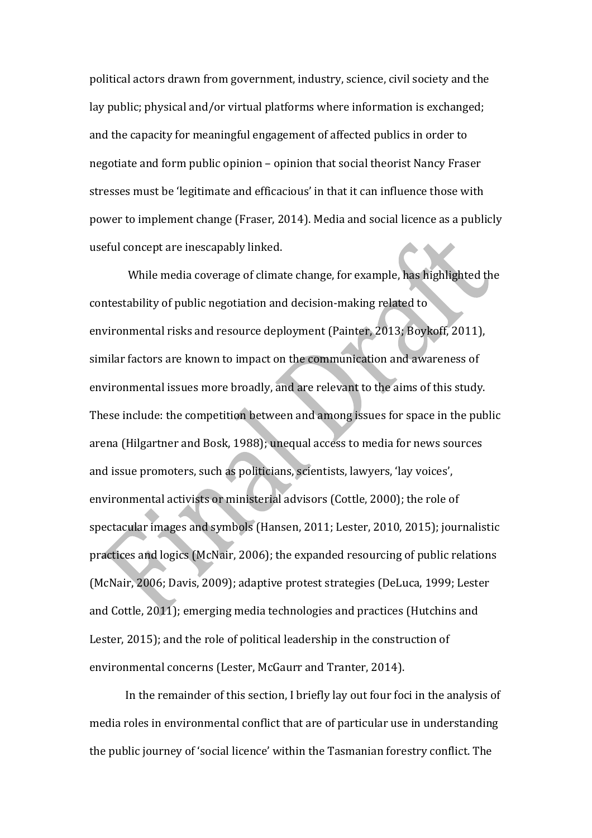political actors drawn from government, industry, science, civil society and the lay public; physical and/or virtual platforms where information is exchanged; and the capacity for meaningful engagement of affected publics in order to negotiate and form public opinion - opinion that social theorist Nancy Fraser stresses must be 'legitimate and efficacious' in that it can influence those with power to implement change (Fraser, 2014). Media and social licence as a publicly useful concept are inescapably linked.

While media coverage of climate change, for example, has highlighted the contestability of public negotiation and decision-making related to environmental risks and resource deployment (Painter, 2013; Boykoff, 2011), similar factors are known to impact on the communication and awareness of environmental issues more broadly, and are relevant to the aims of this study. These include: the competition between and among issues for space in the public arena (Hilgartner and Bosk, 1988); unequal access to media for news sources and issue promoters, such as politicians, scientists, lawyers, 'lay voices', environmental activists or ministerial advisors (Cottle, 2000); the role of spectacular images and symbols (Hansen, 2011; Lester, 2010, 2015); journalistic practices and logics (McNair, 2006); the expanded resourcing of public relations (McNair, 2006; Davis, 2009); adaptive protest strategies (DeLuca, 1999; Lester and Cottle, 2011); emerging media technologies and practices (Hutchins and Lester,  $2015$ ); and the role of political leadership in the construction of environmental concerns (Lester, McGaurr and Tranter, 2014).

In the remainder of this section, I briefly lay out four foci in the analysis of media roles in environmental conflict that are of particular use in understanding the public journey of 'social licence' within the Tasmanian forestry conflict. The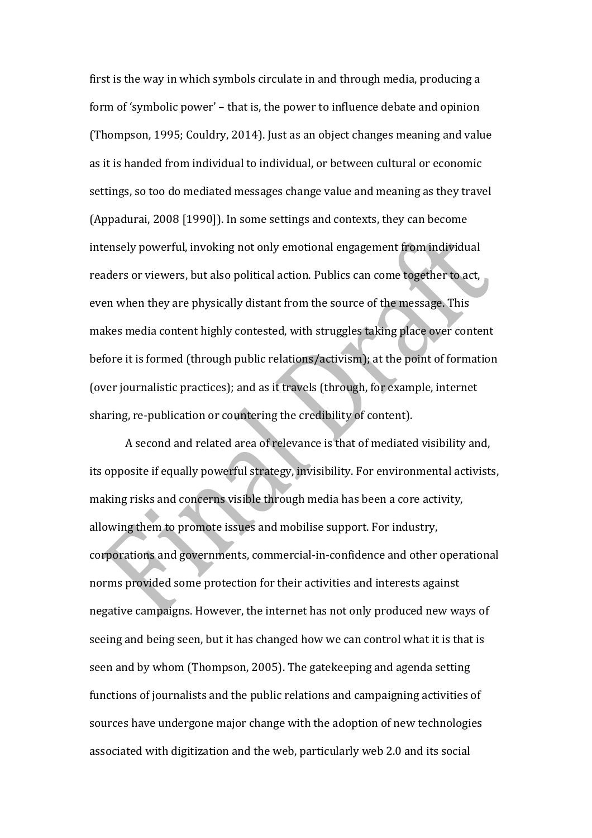first is the way in which symbols circulate in and through media, producing a form of 'symbolic power' – that is, the power to influence debate and opinion (Thompson, 1995; Couldry, 2014). Just as an object changes meaning and value as it is handed from individual to individual, or between cultural or economic settings, so too do mediated messages change value and meaning as they travel (Appadurai, 2008 [1990]). In some settings and contexts, they can become intensely powerful, invoking not only emotional engagement from individual readers or viewers, but also political action. Publics can come together to act, even when they are physically distant from the source of the message. This makes media content highly contested, with struggles taking place over content before it is formed (through public relations/activism); at the point of formation (over iournalistic practices); and as it travels (through, for example, internet sharing, re-publication or countering the credibility of content).

A second and related area of relevance is that of mediated visibility and, its opposite if equally powerful strategy, invisibility. For environmental activists, making risks and concerns visible through media has been a core activity, allowing them to promote issues and mobilise support. For industry, corporations and governments, commercial-in-confidence and other operational norms provided some protection for their activities and interests against negative campaigns. However, the internet has not only produced new ways of seeing and being seen, but it has changed how we can control what it is that is seen and by whom (Thompson, 2005). The gatekeeping and agenda setting functions of journalists and the public relations and campaigning activities of sources have undergone major change with the adoption of new technologies associated with digitization and the web, particularly web 2.0 and its social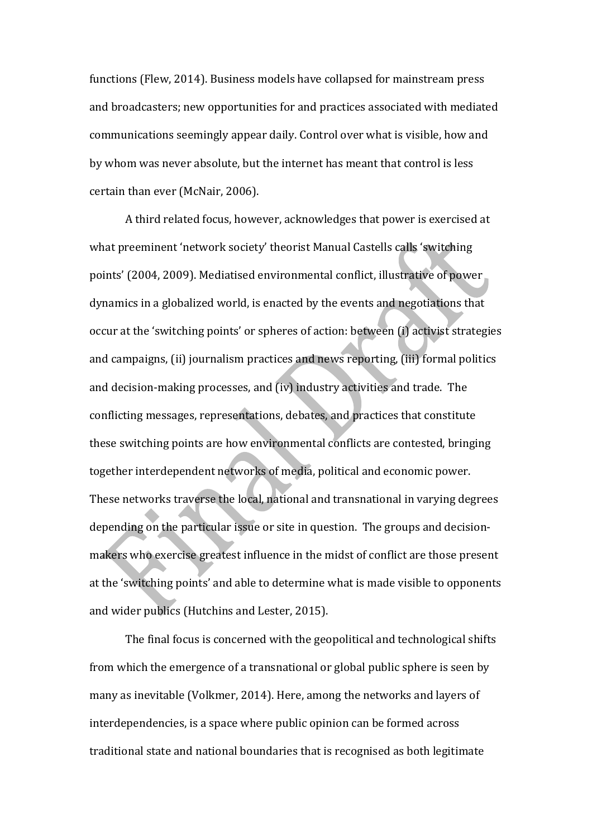functions (Flew, 2014). Business models have collapsed for mainstream press and broadcasters; new opportunities for and practices associated with mediated communications seemingly appear daily. Control over what is visible, how and by whom was never absolute, but the internet has meant that control is less certain than ever (McNair, 2006).

A third related focus, however, acknowledges that power is exercised at what preeminent 'network society' theorist Manual Castells calls 'switching points' (2004, 2009). Mediatised environmental conflict, illustrative of power dynamics in a globalized world, is enacted by the events and negotiations that occur at the 'switching points' or spheres of action: between (i) activist strategies and campaigns, (ii) journalism practices and news reporting, (iii) formal politics and decision-making processes, and (iv) industry activities and trade. The conflicting messages, representations, debates, and practices that constitute these switching points are how environmental conflicts are contested, bringing together interdependent networks of media, political and economic power. These networks traverse the local, national and transnational in varying degrees depending on the particular issue or site in question. The groups and decisionmakers who exercise greatest influence in the midst of conflict are those present at the 'switching points' and able to determine what is made visible to opponents and wider publics (Hutchins and Lester, 2015).

The final focus is concerned with the geopolitical and technological shifts from which the emergence of a transnational or global public sphere is seen by many as inevitable (Volkmer, 2014). Here, among the networks and layers of interdependencies, is a space where public opinion can be formed across traditional state and national boundaries that is recognised as both legitimate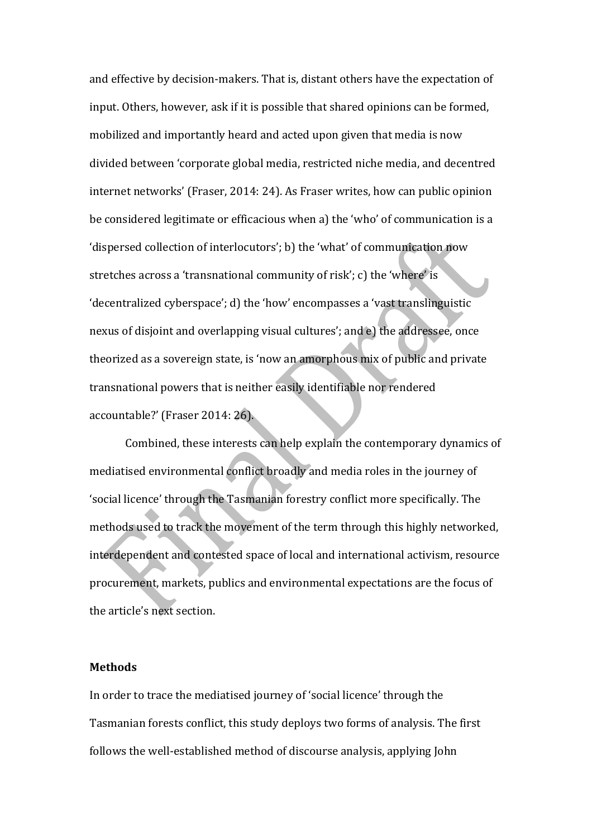and effective by decision-makers. That is, distant others have the expectation of input. Others, however, ask if it is possible that shared opinions can be formed, mobilized and importantly heard and acted upon given that media is now divided between 'corporate global media, restricted niche media, and decentred internet networks' (Fraser, 2014: 24). As Fraser writes, how can public opinion be considered legitimate or efficacious when a) the 'who' of communication is a 'dispersed collection of interlocutors'; b) the 'what' of communication now stretches across a 'transnational community of risk'; c) the 'where' is 'decentralized cyberspace'; d) the 'how' encompasses a 'vast translinguistic nexus of disjoint and overlapping visual cultures'; and e) the addressee, once theorized as a sovereign state, is 'now an amorphous mix of public and private transnational powers that is neither easily identifiable nor rendered accountable?' (Fraser 2014: 26).

Combined, these interests can help explain the contemporary dynamics of mediatised environmental conflict broadly and media roles in the journey of 'social licence' through the Tasmanian forestry conflict more specifically. The methods used to track the movement of the term through this highly networked, interdependent and contested space of local and international activism, resource procurement, markets, publics and environmental expectations are the focus of the article's next section.

#### **Methods**

In order to trace the mediatised journey of 'social licence' through the Tasmanian forests conflict, this study deploys two forms of analysis. The first follows the well-established method of discourse analysis, applying John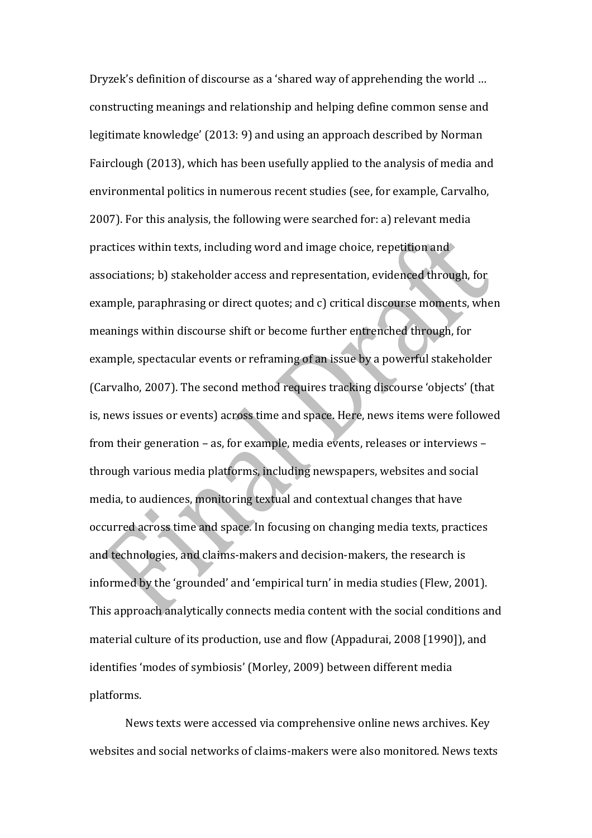Dryzek's definition of discourse as a 'shared way of apprehending the world ... constructing meanings and relationship and helping define common sense and legitimate knowledge' (2013: 9) and using an approach described by Norman Fairclough (2013), which has been usefully applied to the analysis of media and environmental politics in numerous recent studies (see, for example, Carvalho, 2007). For this analysis, the following were searched for: a) relevant media practices within texts, including word and image choice, repetition and  $\triangleright$ associations; b) stakeholder access and representation, evidenced through, for example, paraphrasing or direct quotes; and c) critical discourse moments, when meanings within discourse shift or become further entrenched through, for example, spectacular events or reframing of an issue by a powerful stakeholder (Carvalho, 2007). The second method requires tracking discourse 'objects' (that is, news issues or events) across time and space. Here, news items were followed from their generation - as, for example, media events, releases or interviews through various media platforms, including newspapers, websites and social media, to audiences, monitoring textual and contextual changes that have occurred across time and space. In focusing on changing media texts, practices and technologies, and claims-makers and decision-makers, the research is informed by the 'grounded' and 'empirical turn' in media studies (Flew, 2001). This approach analytically connects media content with the social conditions and material culture of its production, use and flow (Appadurai, 2008 [1990]), and identifies 'modes of symbiosis' (Morley, 2009) between different media platforms. 

News texts were accessed via comprehensive online news archives. Key websites and social networks of claims-makers were also monitored. News texts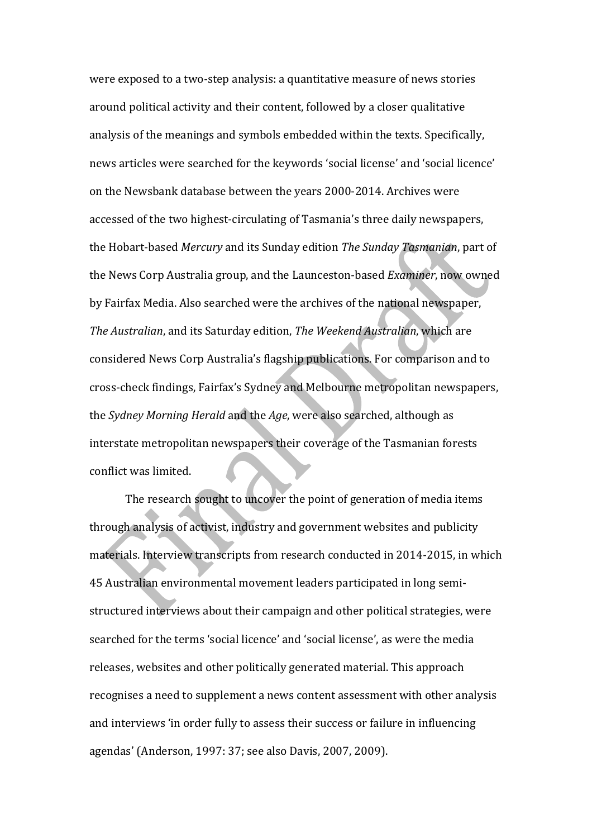were exposed to a two-step analysis: a quantitative measure of news stories around political activity and their content, followed by a closer qualitative analysis of the meanings and symbols embedded within the texts. Specifically, news articles were searched for the keywords 'social license' and 'social licence' on the Newsbank database between the years 2000-2014. Archives were accessed of the two highest-circulating of Tasmania's three daily newspapers, the Hobart-based *Mercury* and its Sunday edition *The Sunday Tasmanian*, part of the News Corp Australia group, and the Launceston-based *Examiner*, now owned by Fairfax Media. Also searched were the archives of the national newspaper, *The Australian*, and its Saturday edition, *The Weekend Australian*, which are considered News Corp Australia's flagship publications. For comparison and to cross-check findings, Fairfax's Sydney and Melbourne metropolitan newspapers, the *Sydney Morning Herald* and the *Age*, were also searched, although as interstate metropolitan newspapers their coverage of the Tasmanian forests conflict was limited.

The research sought to uncover the point of generation of media items through analysis of activist, industry and government websites and publicity materials. Interview transcripts from research conducted in 2014-2015, in which 45 Australian environmental movement leaders participated in long semistructured interviews about their campaign and other political strategies, were searched for the terms 'social licence' and 'social license', as were the media releases, websites and other politically generated material. This approach recognises a need to supplement a news content assessment with other analysis and interviews 'in order fully to assess their success or failure in influencing agendas' (Anderson, 1997: 37; see also Davis, 2007, 2009).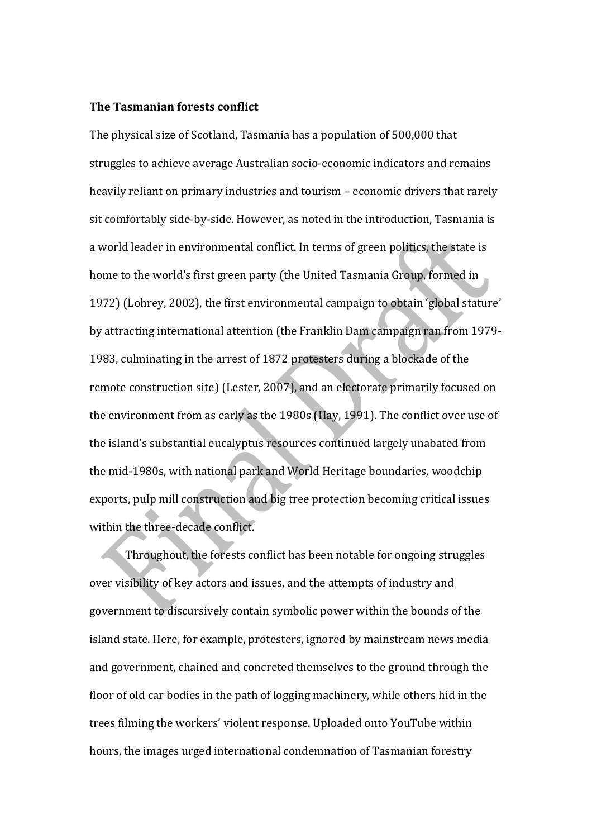#### **The Tasmanian forests conflict**

The physical size of Scotland, Tasmania has a population of 500,000 that struggles to achieve average Australian socio-economic indicators and remains heavily reliant on primary industries and tourism - economic drivers that rarely sit comfortably side-by-side. However, as noted in the introduction, Tasmania is a world leader in environmental conflict. In terms of green politics, the state is home to the world's first green party (the United Tasmania Group, formed in 1972) (Lohrey, 2002), the first environmental campaign to obtain 'global stature' by attracting international attention (the Franklin Dam campaign ran from 1979-1983, culminating in the arrest of 1872 protesters during a blockade of the remote construction site) (Lester, 2007), and an electorate primarily focused on the environment from as early as the 1980s (Hay, 1991). The conflict over use of the island's substantial eucalyptus resources continued largely unabated from the mid-1980s, with national park and World Heritage boundaries, woodchip exports, pulp mill construction and big tree protection becoming critical issues within the three-decade conflict.

Throughout, the forests conflict has been notable for ongoing struggles over visibility of key actors and issues, and the attempts of industry and government to discursively contain symbolic power within the bounds of the island state. Here, for example, protesters, ignored by mainstream news media and government, chained and concreted themselves to the ground through the floor of old car bodies in the path of logging machinery, while others hid in the trees filming the workers' violent response. Uploaded onto YouTube within hours, the images urged international condemnation of Tasmanian forestry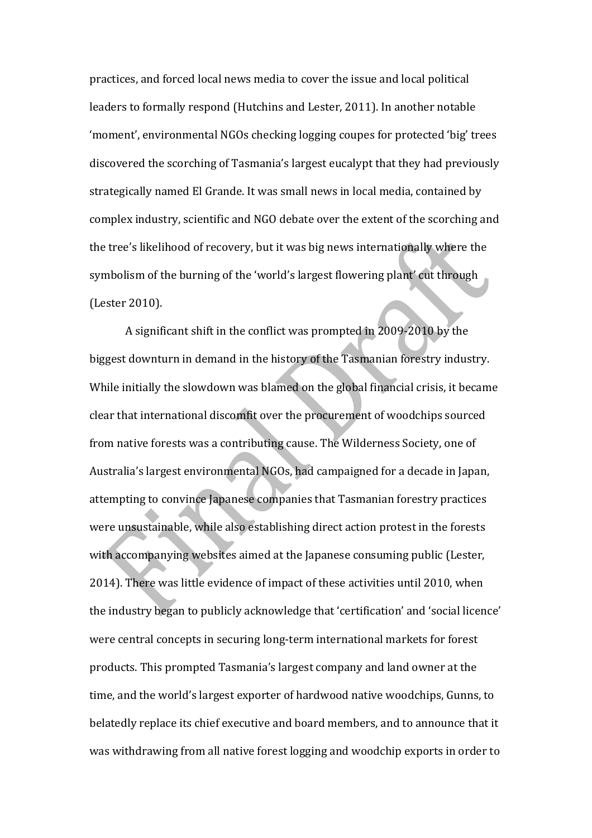practices, and forced local news media to cover the issue and local political leaders to formally respond (Hutchins and Lester, 2011). In another notable 'moment', environmental NGOs checking logging coupes for protected 'big' trees discovered the scorching of Tasmania's largest eucalypt that they had previously strategically named El Grande. It was small news in local media, contained by complex industry, scientific and NGO debate over the extent of the scorching and the tree's likelihood of recovery, but it was big news internationally where the symbolism of the burning of the 'world's largest flowering plant' cut through (Lester 2010). 

A significant shift in the conflict was prompted in  $2009-2010$  by the biggest downturn in demand in the history of the Tasmanian forestry industry. While initially the slowdown was blamed on the global financial crisis, it became clear that international discomfit over the procurement of woodchips sourced from native forests was a contributing cause. The Wilderness Society, one of Australia's largest environmental NGOs, had campaigned for a decade in Japan, attempting to convince Japanese companies that Tasmanian forestry practices were unsustainable, while also establishing direct action protest in the forests with accompanying websites aimed at the Japanese consuming public (Lester, 2014). There was little evidence of impact of these activities until 2010, when the industry began to publicly acknowledge that 'certification' and 'social licence' were central concepts in securing long-term international markets for forest products. This prompted Tasmania's largest company and land owner at the time, and the world's largest exporter of hardwood native woodchips, Gunns, to belatedly replace its chief executive and board members, and to announce that it was withdrawing from all native forest logging and woodchip exports in order to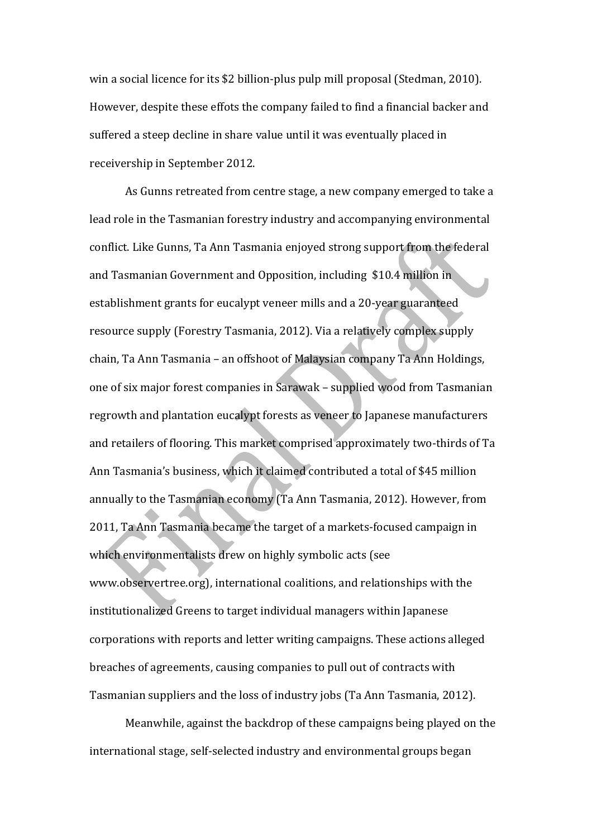win a social licence for its \$2 billion-plus pulp mill proposal (Stedman, 2010). However, despite these effots the company failed to find a financial backer and suffered a steep decline in share value until it was eventually placed in receivership in September 2012.

As Gunns retreated from centre stage, a new company emerged to take a lead role in the Tasmanian forestry industry and accompanying environmental conflict. Like Gunns, Ta Ann Tasmania enjoyed strong support from the federal and Tasmanian Government and Opposition, including \$10.4 million in establishment grants for eucalypt veneer mills and a 20-year guaranteed resource supply (Forestry Tasmania, 2012). Via a relatively complex supply chain, Ta Ann Tasmania - an offshoot of Malaysian company Ta Ann Holdings, one of six major forest companies in Sarawak - supplied wood from Tasmanian regrowth and plantation eucalypt forests as veneer to Japanese manufacturers and retailers of flooring. This market comprised approximately two-thirds of Ta Ann Tasmania's business, which it claimed contributed a total of \$45 million annually to the Tasmanian economy (Ta Ann Tasmania, 2012). However, from 2011, Ta Ann Tasmania became the target of a markets-focused campaign in which environmentalists drew on highly symbolic acts (see www.observertree.org), international coalitions, and relationships with the institutionalized Greens to target individual managers within Japanese corporations with reports and letter writing campaigns. These actions alleged breaches of agreements, causing companies to pull out of contracts with Tasmanian suppliers and the loss of industry jobs (Ta Ann Tasmania, 2012).

Meanwhile, against the backdrop of these campaigns being played on the international stage, self-selected industry and environmental groups began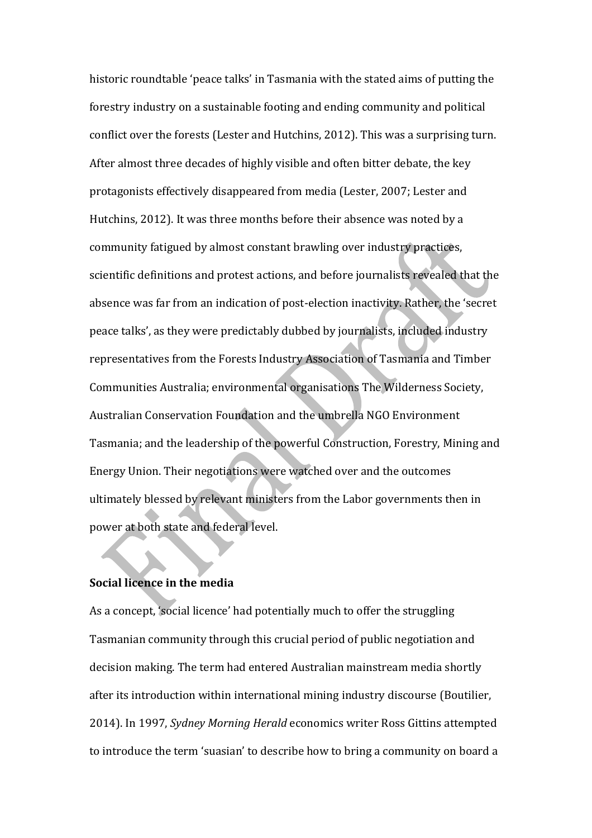historic roundtable 'peace talks' in Tasmania with the stated aims of putting the forestry industry on a sustainable footing and ending community and political conflict over the forests (Lester and Hutchins, 2012). This was a surprising turn. After almost three decades of highly visible and often bitter debate, the key protagonists effectively disappeared from media (Lester, 2007; Lester and Hutchins, 2012). It was three months before their absence was noted by a community fatigued by almost constant brawling over industry practices, scientific definitions and protest actions, and before journalists revealed that the absence was far from an indication of post-election inactivity. Rather, the 'secret peace talks', as they were predictably dubbed by journalists, included industry representatives from the Forests Industry Association of Tasmania and Timber Communities Australia; environmental organisations The Wilderness Society, Australian Conservation Foundation and the umbrella NGO Environment Tasmania; and the leadership of the powerful Construction, Forestry, Mining and Energy Union. Their negotiations were watched over and the outcomes ultimately blessed by relevant ministers from the Labor governments then in power at both state and federal level.

# **Social licence in the media**

As a concept, 'social licence' had potentially much to offer the struggling Tasmanian community through this crucial period of public negotiation and decision making. The term had entered Australian mainstream media shortly after its introduction within international mining industry discourse (Boutilier, 2014). In 1997, *Sydney Morning Herald* economics writer Ross Gittins attempted to introduce the term 'suasian' to describe how to bring a community on board a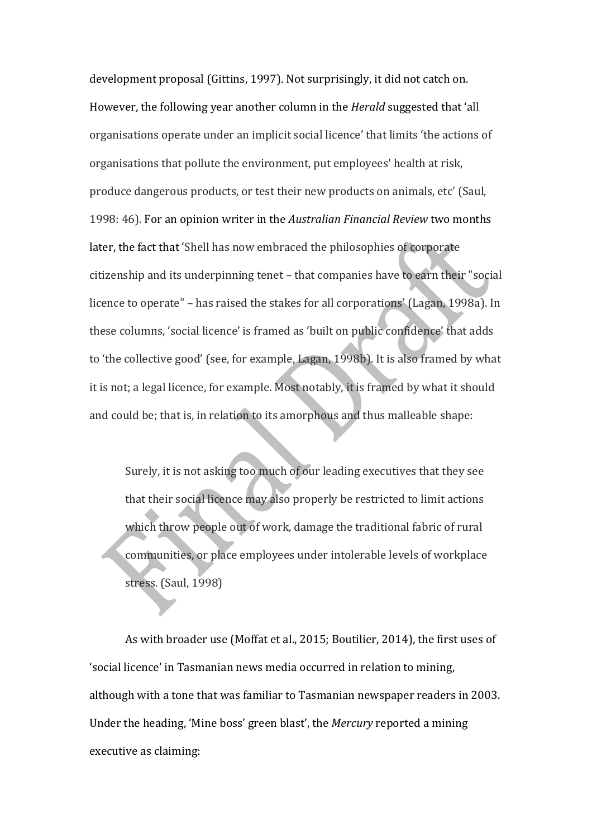development proposal (Gittins, 1997). Not surprisingly, it did not catch on. However, the following year another column in the *Herald* suggested that 'all organisations operate under an implicit social licence' that limits 'the actions of organisations that pollute the environment, put employees' health at risk, produce dangerous products, or test their new products on animals, etc' (Saul, 1998: 46). For an opinion writer in the *Australian Financial Review* two months later, the fact that 'Shell has now embraced the philosophies of corporate citizenship and its underpinning tenet – that companies have to earn their "social licence to operate" – has raised the stakes for all corporations' (Lagan, 1998a). In these columns, 'social licence' is framed as 'built on public confidence' that adds to 'the collective good' (see, for example, Lagan, 1998b). It is also framed by what it is not; a legal licence, for example. Most notably, it is framed by what it should and could be; that is, in relation to its amorphous and thus malleable shape:

Surely, it is not asking too much of our leading executives that they see that their social licence may also properly be restricted to limit actions which throw people out of work, damage the traditional fabric of rural communities, or place employees under intolerable levels of workplace stress. (Saul, 1998)

As with broader use (Moffat et al., 2015; Boutilier, 2014), the first uses of 'social licence' in Tasmanian news media occurred in relation to mining, although with a tone that was familiar to Tasmanian newspaper readers in 2003. Under the heading, 'Mine boss' green blast', the *Mercury* reported a mining executive as claiming: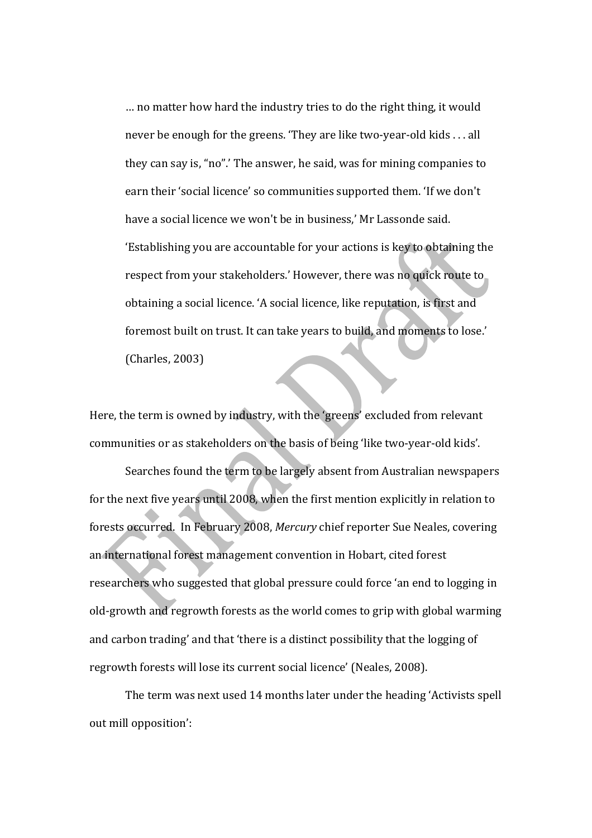... no matter how hard the industry tries to do the right thing, it would never be enough for the greens. 'They are like two-year-old kids . . . all they can say is, "no".' The answer, he said, was for mining companies to earn their 'social licence' so communities supported them. 'If we don't have a social licence we won't be in business,' Mr Lassonde said. 'Establishing you are accountable for your actions is key to obtaining the respect from your stakeholders.' However, there was no quick route to obtaining a social licence. 'A social licence, like reputation, is first and foremost built on trust. It can take years to build, and moments to lose.' (Charles, 2003)

Here, the term is owned by industry, with the 'greens' excluded from relevant communities or as stakeholders on the basis of being 'like two-year-old kids'.

Searches found the term to be largely absent from Australian newspapers for the next five years until 2008, when the first mention explicitly in relation to forests occurred. In February 2008, Mercury chief reporter Sue Neales, covering an international forest management convention in Hobart, cited forest researchers who suggested that global pressure could force 'an end to logging in old-growth and regrowth forests as the world comes to grip with global warming and carbon trading' and that 'there is a distinct possibility that the logging of regrowth forests will lose its current social licence' (Neales, 2008).

The term was next used 14 months later under the heading 'Activists spell out mill opposition':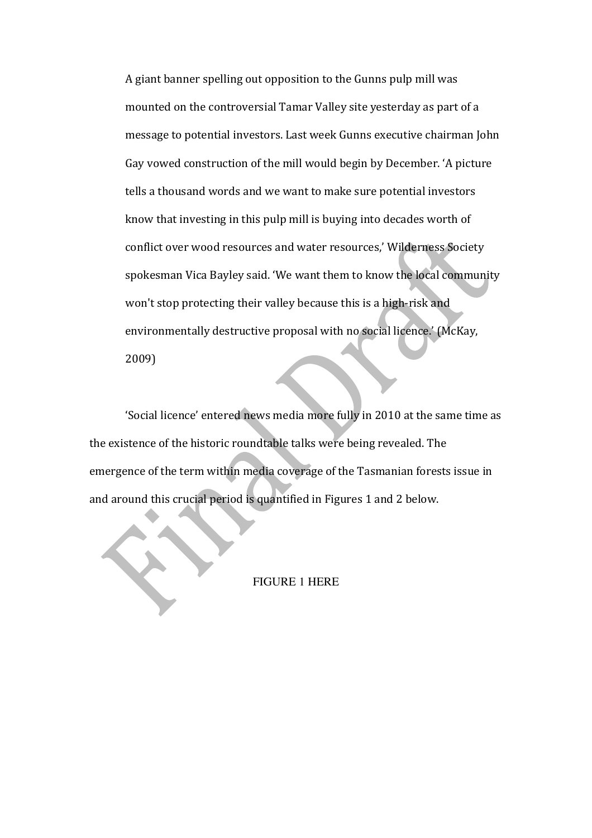A giant banner spelling out opposition to the Gunns pulp mill was mounted on the controversial Tamar Valley site yesterday as part of a message to potential investors. Last week Gunns executive chairman John Gay vowed construction of the mill would begin by December. 'A picture tells a thousand words and we want to make sure potential investors know that investing in this pulp mill is buying into decades worth of conflict over wood resources and water resources,' Wilderness Society spokesman Vica Bayley said. 'We want them to know the local community won't stop protecting their valley because this is a high-risk and environmentally destructive proposal with no social licence.' (McKay, 2009)

'Social licence' entered news media more fully in 2010 at the same time as the existence of the historic roundtable talks were being revealed. The emergence of the term within media coverage of the Tasmanian forests issue in and around this crucial period is quantified in Figures 1 and 2 below.

FIGURE 1 HERE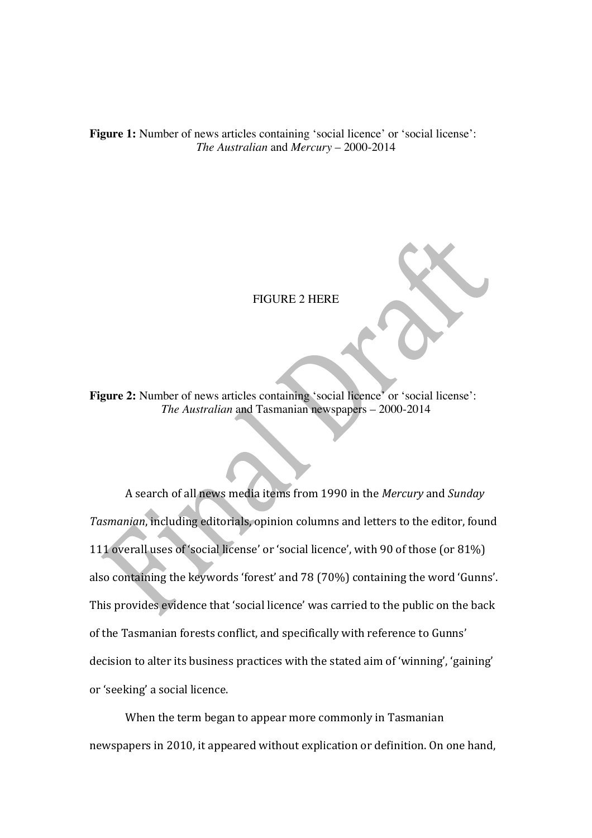Figure 1: Number of news articles containing 'social licence' or 'social license': *The Australian* and *Mercury* – 2000-2014

FIGURE 2 HERE

Figure 2: Number of news articles containing 'social licence' or 'social license': *The Australian* and Tasmanian newspapers – 2000-2014

A search of all news media items from 1990 in the *Mercury* and *Sunday* Tasmanian, including editorials, opinion columns and letters to the editor, found 111 overall uses of 'social license' or 'social licence', with 90 of those (or 81%) also containing the keywords 'forest' and 78 (70%) containing the word 'Gunns'. This provides evidence that 'social licence' was carried to the public on the back of the Tasmanian forests conflict, and specifically with reference to Gunns' decision to alter its business practices with the stated aim of 'winning', 'gaining' or 'seeking' a social licence.

When the term began to appear more commonly in Tasmanian newspapers in 2010, it appeared without explication or definition. On one hand,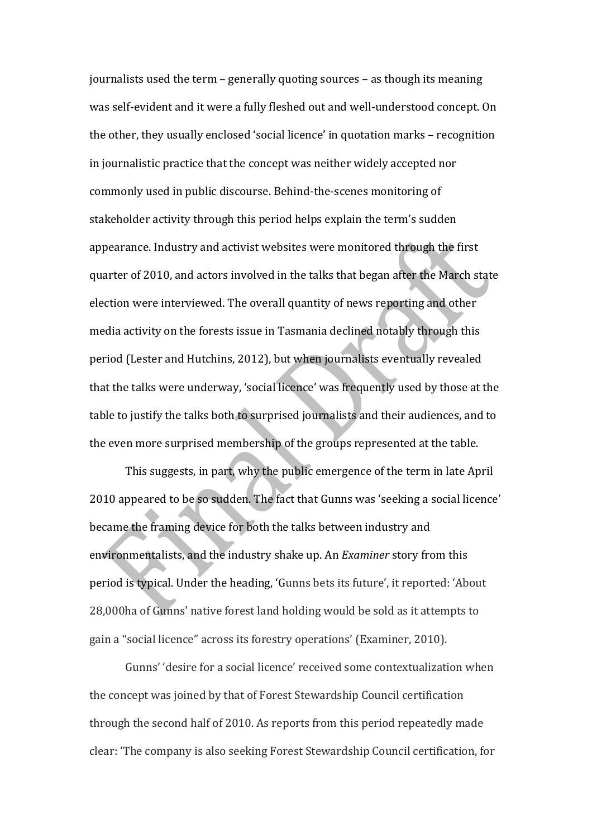journalists used the term  $-$  generally quoting sources  $-$  as though its meaning was self-evident and it were a fully fleshed out and well-understood concept. On the other, they usually enclosed 'social licence' in quotation marks – recognition in journalistic practice that the concept was neither widely accepted nor commonly used in public discourse. Behind-the-scenes monitoring of stakeholder activity through this period helps explain the term's sudden appearance. Industry and activist websites were monitored through the first quarter of 2010, and actors involved in the talks that began after the March state election were interviewed. The overall quantity of news reporting and other media activity on the forests issue in Tasmania declined notably through this period (Lester and Hutchins, 2012), but when journalists eventually revealed that the talks were underway, 'social licence' was frequently used by those at the table to justify the talks both to surprised journalists and their audiences, and to the even more surprised membership of the groups represented at the table.

This suggests, in part, why the public emergence of the term in late April 2010 appeared to be so sudden. The fact that Gunns was 'seeking a social licence' became the framing device for both the talks between industry and environmentalists, and the industry shake up. An *Examiner* story from this period is typical. Under the heading, 'Gunns bets its future', it reported: 'About 28,000ha of Gunns' native forest land holding would be sold as it attempts to gain a "social licence" across its forestry operations' (Examiner, 2010).

Gunns' 'desire for a social licence' received some contextualization when the concept was joined by that of Forest Stewardship Council certification through the second half of 2010. As reports from this period repeatedly made clear: 'The company is also seeking Forest Stewardship Council certification, for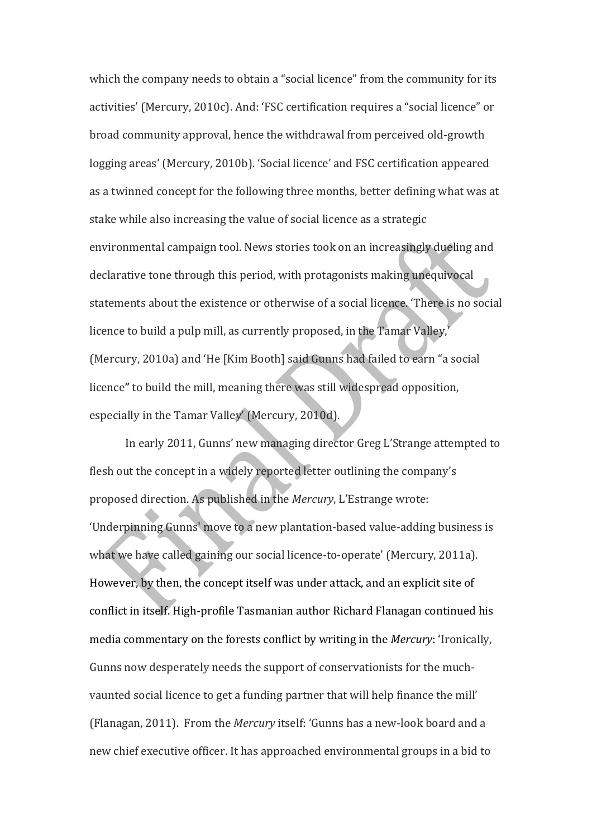which the company needs to obtain a "social licence" from the community for its activities' (Mercury, 2010c). And: 'FSC certification requires a "social licence" or broad community approval, hence the withdrawal from perceived old-growth logging areas' (Mercury, 2010b). 'Social licence' and FSC certification appeared as a twinned concept for the following three months, better defining what was at stake while also increasing the value of social licence as a strategic environmental campaign tool. News stories took on an increasingly dueling and declarative tone through this period, with protagonists making unequivocal statements about the existence or otherwise of a social licence. 'There is no social licence to build a pulp mill, as currently proposed, in the Tamar Valley,' (Mercury, 2010a) and 'He [Kim Booth] said Gunns had failed to earn "a social licence" to build the mill, meaning there was still widespread opposition, especially in the Tamar Valley' (Mercury, 2010d).

In early 2011, Gunns' new managing director Greg L'Strange attempted to flesh out the concept in a widely reported letter outlining the company's proposed direction. As published in the *Mercury*, L'Estrange wrote: 'Underpinning Gunns' move to a new plantation-based value-adding business is what we have called gaining our social licence-to-operate' (Mercury, 2011a). However, by then, the concept itself was under attack, and an explicit site of conflict in itself. High-profile Tasmanian author Richard Flanagan continued his media commentary on the forests conflict by writing in the *Mercury*: 'Ironically, Gunns now desperately needs the support of conservationists for the muchvaunted social licence to get a funding partner that will help finance the mill' (Flanagan, 2011). From the *Mercury* itself: 'Gunns has a new-look board and a new chief executive officer. It has approached environmental groups in a bid to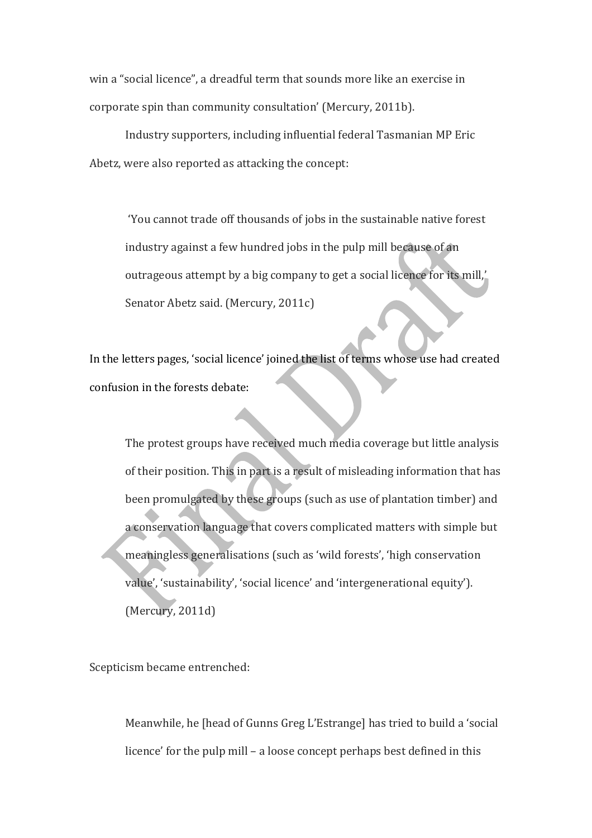win a "social licence", a dreadful term that sounds more like an exercise in corporate spin than community consultation' (Mercury, 2011b).

Industry supporters, including influential federal Tasmanian MP Eric Abetz, were also reported as attacking the concept:

'You cannot trade off thousands of jobs in the sustainable native forest industry against a few hundred jobs in the pulp mill because of an outrageous attempt by a big company to get a social licence for its mill,' Senator Abetz said. (Mercury, 2011c)

In the letters pages, 'social licence' joined the list of terms whose use had created confusion in the forests debate:

The protest groups have received much media coverage but little analysis of their position. This in part is a result of misleading information that has been promulgated by these groups (such as use of plantation timber) and a conservation language that covers complicated matters with simple but meaningless generalisations (such as 'wild forests', 'high conservation value', 'sustainability', 'social licence' and 'intergenerational equity').  $(Mercury, 2011d)$ 

Scepticism became entrenched:

Meanwhile, he [head of Gunns Greg L'Estrange] has tried to build a 'social licence' for the pulp  $mill - a$  loose concept perhaps best defined in this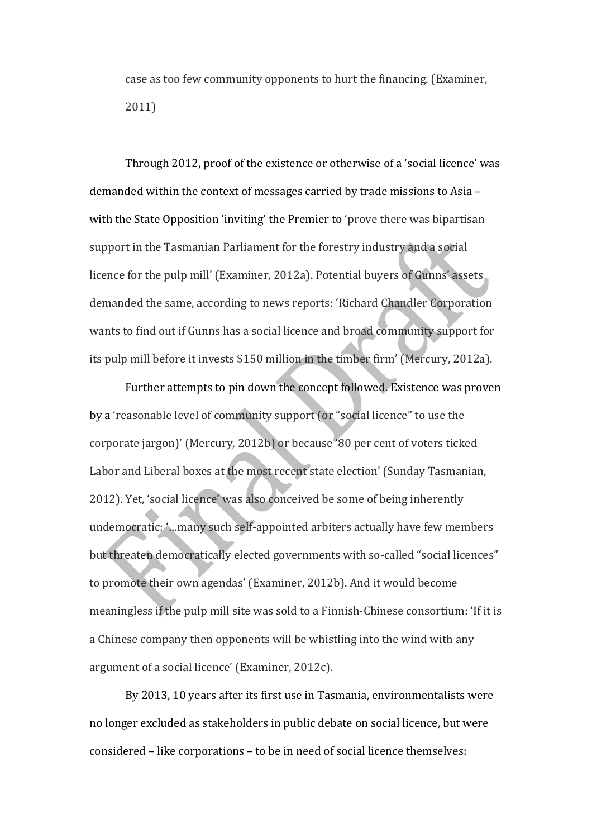case as too few community opponents to hurt the financing. (Examiner, 2011)

Through 2012, proof of the existence or otherwise of a 'social licence' was demanded within the context of messages carried by trade missions to Asia with the State Opposition 'inviting' the Premier to 'prove there was bipartisan support in the Tasmanian Parliament for the forestry industry and a social licence for the pulp mill' (Examiner, 2012a). Potential buyers of Gunns' assets demanded the same, according to news reports: 'Richard Chandler Corporation wants to find out if Gunns has a social licence and broad community support for its pulp mill before it invests \$150 million in the timber firm' (Mercury, 2012a).

Further attempts to pin down the concept followed. Existence was proven by a 'reasonable level of community support (or "social licence" to use the corporate jargon)' (Mercury, 2012b) or because '80 per cent of voters ticked Labor and Liberal boxes at the most recent state election' (Sunday Tasmanian, 2012). Yet, 'social licence' was also conceived be some of being inherently undemocratic: '...many such self-appointed arbiters actually have few members but threaten democratically elected governments with so-called "social licences" to promote their own agendas' (Examiner, 2012b). And it would become meaningless if the pulp mill site was sold to a Finnish-Chinese consortium: 'If it is a Chinese company then opponents will be whistling into the wind with any argument of a social licence' (Examiner, 2012c).

By 2013, 10 years after its first use in Tasmania, environmentalists were no longer excluded as stakeholders in public debate on social licence, but were considered – like corporations – to be in need of social licence themselves: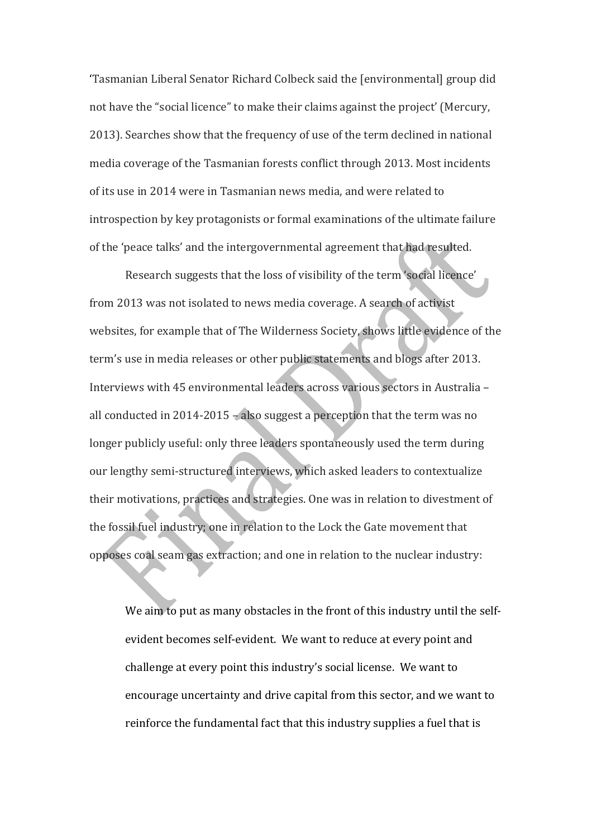'Tasmanian Liberal Senator Richard Colbeck said the [environmental] group did not have the "social licence" to make their claims against the project' (Mercury, 2013). Searches show that the frequency of use of the term declined in national media coverage of the Tasmanian forests conflict through 2013. Most incidents of its use in 2014 were in Tasmanian news media, and were related to introspection by key protagonists or formal examinations of the ultimate failure of the 'peace talks' and the intergovernmental agreement that had resulted.

Research suggests that the loss of visibility of the term 'social licence' from 2013 was not isolated to news media coverage. A search of activist websites, for example that of The Wilderness Society, shows little evidence of the term's use in media releases or other public statements and blogs after 2013. Interviews with 45 environmental leaders across various sectors in Australia – all conducted in 2014-2015 – also suggest a perception that the term was no longer publicly useful: only three leaders spontaneously used the term during our lengthy semi-structured interviews, which asked leaders to contextualize their motivations, practices and strategies. One was in relation to divestment of the fossil fuel industry; one in relation to the Lock the Gate movement that opposes coal seam gas extraction; and one in relation to the nuclear industry:

We aim to put as many obstacles in the front of this industry until the selfevident becomes self-evident. We want to reduce at every point and challenge at every point this industry's social license. We want to encourage uncertainty and drive capital from this sector, and we want to reinforce the fundamental fact that this industry supplies a fuel that is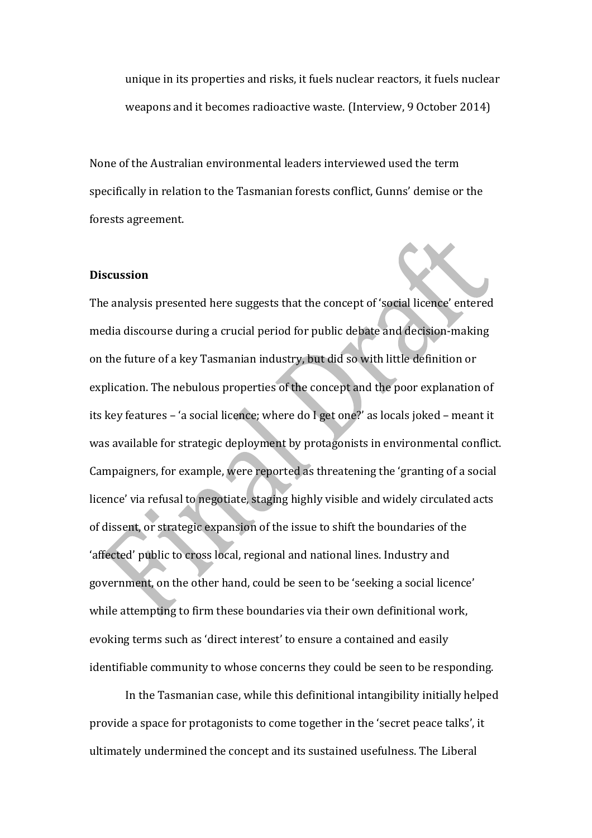unique in its properties and risks, it fuels nuclear reactors, it fuels nuclear weapons and it becomes radioactive waste. (Interview, 9 October 2014)

None of the Australian environmental leaders interviewed used the term specifically in relation to the Tasmanian forests conflict, Gunns' demise or the forests agreement.

#### **Discussion**

The analysis presented here suggests that the concept of 'social licence' entered media discourse during a crucial period for public debate and decision-making on the future of a key Tasmanian industry, but did so with little definition or explication. The nebulous properties of the concept and the poor explanation of its key features - 'a social licence; where do I get one?' as locals joked - meant it was available for strategic deployment by protagonists in environmental conflict. Campaigners, for example, were reported as threatening the 'granting of a social licence' via refusal to negotiate, staging highly visible and widely circulated acts of dissent, or strategic expansion of the issue to shift the boundaries of the 'affected' public to cross local, regional and national lines. Industry and government, on the other hand, could be seen to be 'seeking a social licence' while attempting to firm these boundaries via their own definitional work, evoking terms such as 'direct interest' to ensure a contained and easily identifiable community to whose concerns they could be seen to be responding.

In the Tasmanian case, while this definitional intangibility initially helped provide a space for protagonists to come together in the 'secret peace talks', it ultimately undermined the concept and its sustained usefulness. The Liberal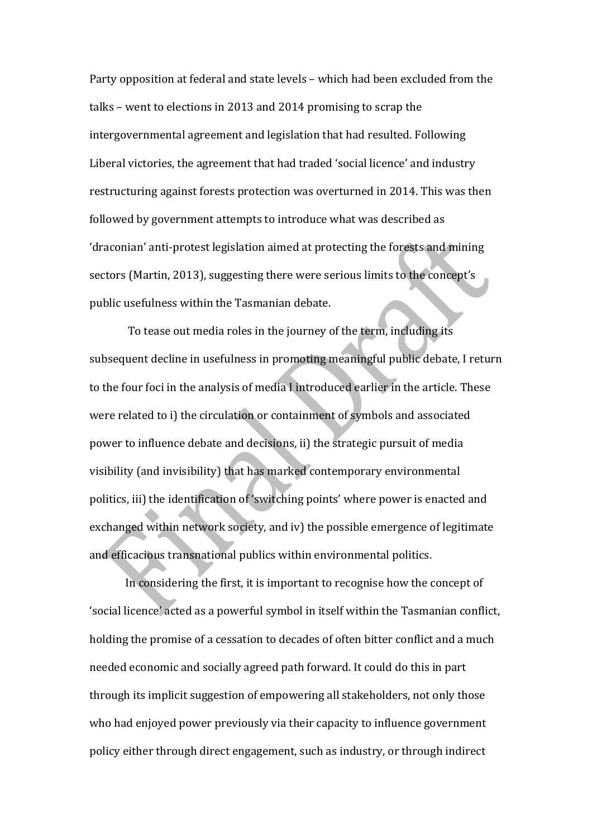Party opposition at federal and state levels – which had been excluded from the talks – went to elections in 2013 and 2014 promising to scrap the intergovernmental agreement and legislation that had resulted. Following Liberal victories, the agreement that had traded 'social licence' and industry restructuring against forests protection was overturned in 2014. This was then followed by government attempts to introduce what was described as 'draconian' anti-protest legislation aimed at protecting the forests and mining sectors (Martin, 2013), suggesting there were serious limits to the concept's public usefulness within the Tasmanian debate.

To tease out media roles in the journey of the term, including its subsequent decline in usefulness in promoting meaningful public debate, I return to the four foci in the analysis of media I introduced earlier in the article. These were related to i) the circulation or containment of symbols and associated power to influence debate and decisions, ii) the strategic pursuit of media visibility (and invisibility) that has marked contemporary environmental politics, iii) the identification of 'switching points' where power is enacted and exchanged within network society, and iv) the possible emergence of legitimate and efficacious transnational publics within environmental politics.

In considering the first, it is important to recognise how the concept of 'social licence' acted as a powerful symbol in itself within the Tasmanian conflict, holding the promise of a cessation to decades of often bitter conflict and a much needed economic and socially agreed path forward. It could do this in part through its implicit suggestion of empowering all stakeholders, not only those who had enjoyed power previously via their capacity to influence government policy either through direct engagement, such as industry, or through indirect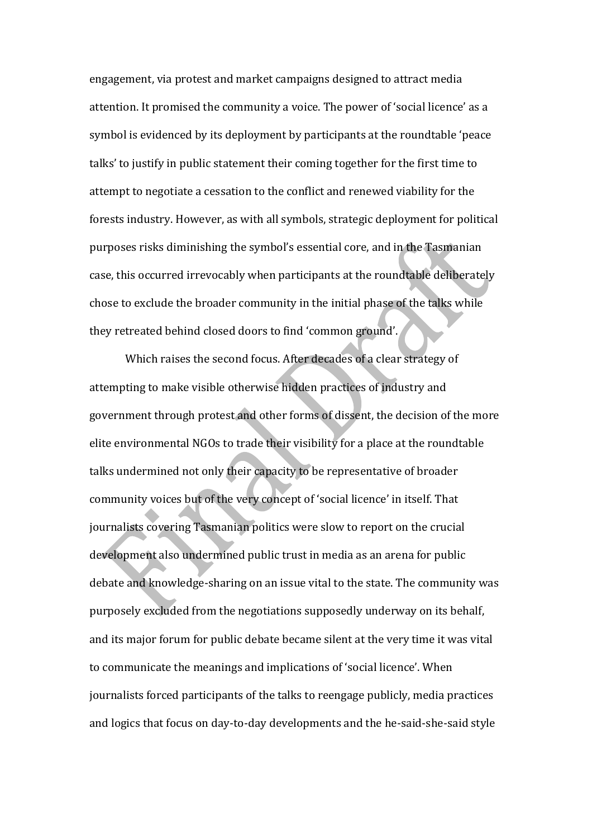engagement, via protest and market campaigns designed to attract media attention. It promised the community a voice. The power of 'social licence' as a symbol is evidenced by its deployment by participants at the roundtable 'peace talks' to justify in public statement their coming together for the first time to attempt to negotiate a cessation to the conflict and renewed viability for the forests industry. However, as with all symbols, strategic deployment for political purposes risks diminishing the symbol's essential core, and in the Tasmanian case, this occurred irrevocably when participants at the roundtable deliberately chose to exclude the broader community in the initial phase of the talks while they retreated behind closed doors to find 'common ground'.

Which raises the second focus. After decades of a clear strategy of attempting to make visible otherwise hidden practices of industry and government through protest and other forms of dissent, the decision of the more elite environmental NGOs to trade their visibility for a place at the roundtable talks undermined not only their capacity to be representative of broader community voices but of the very concept of 'social licence' in itself. That journalists covering Tasmanian politics were slow to report on the crucial development also undermined public trust in media as an arena for public debate and knowledge-sharing on an issue vital to the state. The community was purposely excluded from the negotiations supposedly underway on its behalf, and its major forum for public debate became silent at the very time it was vital to communicate the meanings and implications of 'social licence'. When journalists forced participants of the talks to reengage publicly, media practices and logics that focus on day-to-day developments and the he-said-she-said style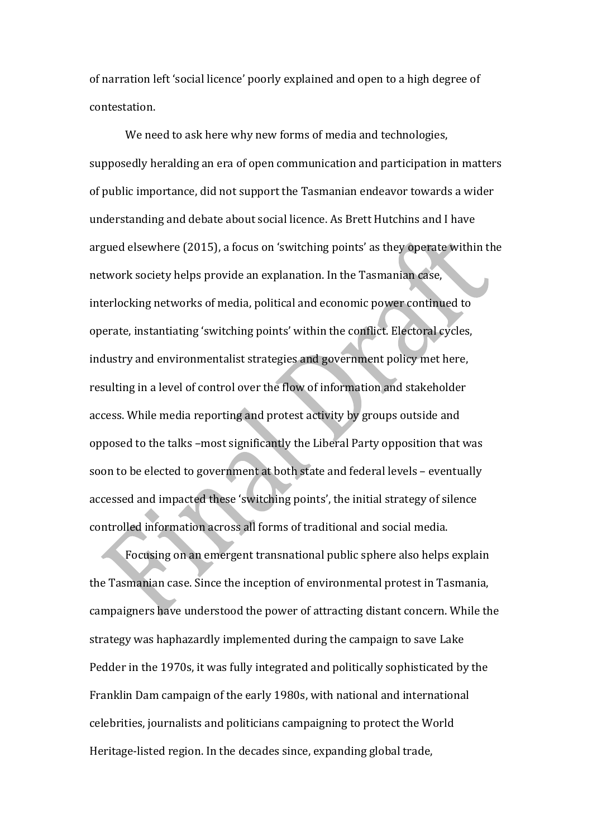of narration left 'social licence' poorly explained and open to a high degree of contestation.

We need to ask here why new forms of media and technologies, supposedly heralding an era of open communication and participation in matters of public importance, did not support the Tasmanian endeavor towards a wider understanding and debate about social licence. As Brett Hutchins and I have argued elsewhere (2015), a focus on 'switching points' as they operate within the network society helps provide an explanation. In the Tasmanian case, interlocking networks of media, political and economic power continued to operate, instantiating 'switching points' within the conflict. Electoral cycles, industry and environmentalist strategies and government policy met here, resulting in a level of control over the flow of information and stakeholder access. While media reporting and protest activity by groups outside and opposed to the talks -most significantly the Liberal Party opposition that was soon to be elected to government at both state and federal levels - eventually accessed and impacted these 'switching points', the initial strategy of silence controlled information across all forms of traditional and social media.

Focusing on an emergent transnational public sphere also helps explain the Tasmanian case. Since the inception of environmental protest in Tasmania, campaigners have understood the power of attracting distant concern. While the strategy was haphazardly implemented during the campaign to save Lake Pedder in the 1970s, it was fully integrated and politically sophisticated by the Franklin Dam campaign of the early 1980s, with national and international celebrities, journalists and politicians campaigning to protect the World Heritage-listed region. In the decades since, expanding global trade,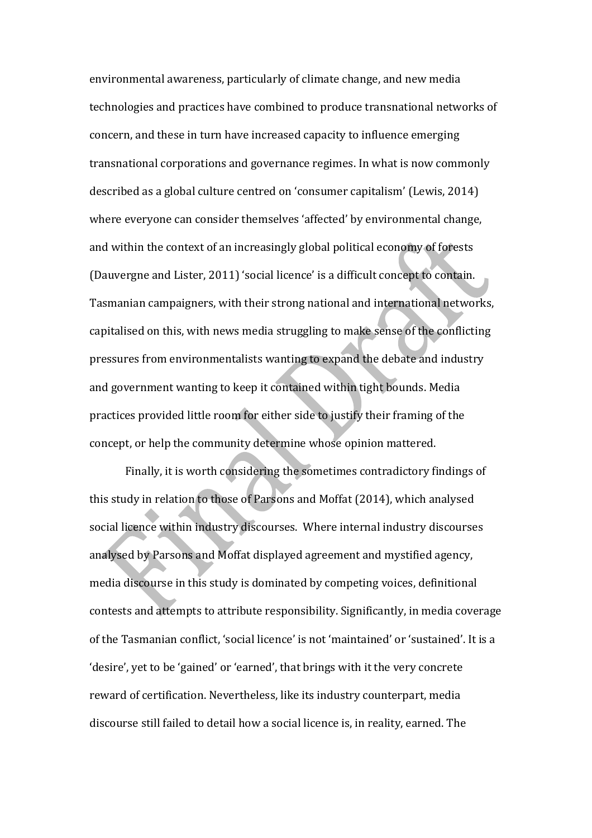environmental awareness, particularly of climate change, and new media technologies and practices have combined to produce transnational networks of concern, and these in turn have increased capacity to influence emerging transnational corporations and governance regimes. In what is now commonly described as a global culture centred on 'consumer capitalism' (Lewis, 2014) where everyone can consider themselves 'affected' by environmental change, and within the context of an increasingly global political economy of forests (Dauvergne and Lister, 2011) 'social licence' is a difficult concept to contain. Tasmanian campaigners, with their strong national and international networks, capitalised on this, with news media struggling to make sense of the conflicting pressures from environmentalists wanting to expand the debate and industry and government wanting to keep it contained within tight bounds. Media practices provided little room for either side to justify their framing of the concept, or help the community determine whose opinion mattered.

Finally, it is worth considering the sometimes contradictory findings of this study in relation to those of Parsons and Moffat (2014), which analysed social licence within industry discourses. Where internal industry discourses analysed by Parsons and Moffat displayed agreement and mystified agency, media discourse in this study is dominated by competing voices, definitional contests and attempts to attribute responsibility. Significantly, in media coverage of the Tasmanian conflict, 'social licence' is not 'maintained' or 'sustained'. It is a 'desire', yet to be 'gained' or 'earned', that brings with it the very concrete reward of certification. Nevertheless, like its industry counterpart, media discourse still failed to detail how a social licence is, in reality, earned. The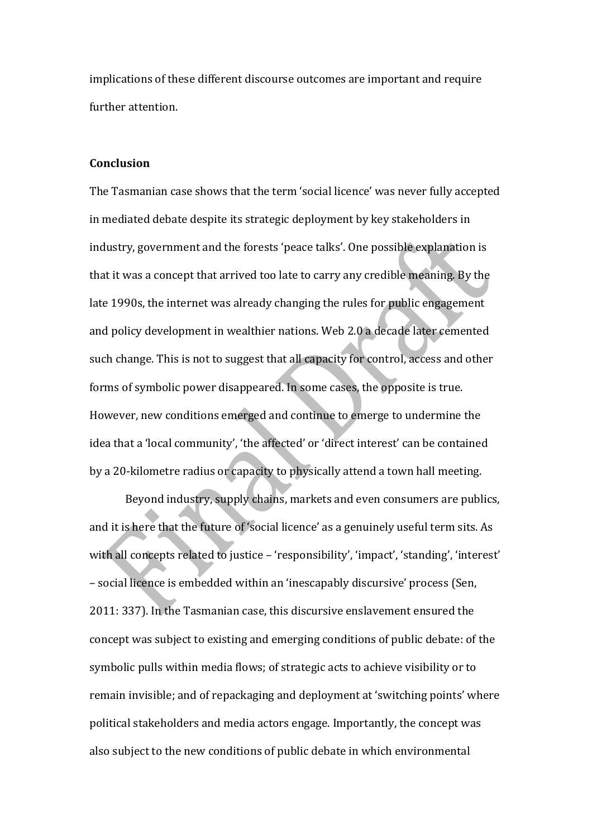implications of these different discourse outcomes are important and require further attention.

### **Conclusion**

The Tasmanian case shows that the term 'social licence' was never fully accepted in mediated debate despite its strategic deployment by key stakeholders in industry, government and the forests 'peace talks'. One possible explanation is that it was a concept that arrived too late to carry any credible meaning. By the late 1990s, the internet was already changing the rules for public engagement and policy development in wealthier nations. Web 2.0 a decade later cemented such change. This is not to suggest that all capacity for control, access and other forms of symbolic power disappeared. In some cases, the opposite is true. However, new conditions emerged and continue to emerge to undermine the idea that a 'local community', 'the affected' or 'direct interest' can be contained by a 20-kilometre radius or capacity to physically attend a town hall meeting.

Beyond industry, supply chains, markets and even consumers are publics, and it is here that the future of 'social licence' as a genuinely useful term sits. As with all concepts related to justice - 'responsibility', 'impact', 'standing', 'interest' – social licence is embedded within an 'inescapably discursive' process (Sen, 2011: 337). In the Tasmanian case, this discursive enslavement ensured the concept was subject to existing and emerging conditions of public debate: of the symbolic pulls within media flows; of strategic acts to achieve visibility or to remain invisible; and of repackaging and deployment at 'switching points' where political stakeholders and media actors engage. Importantly, the concept was also subject to the new conditions of public debate in which environmental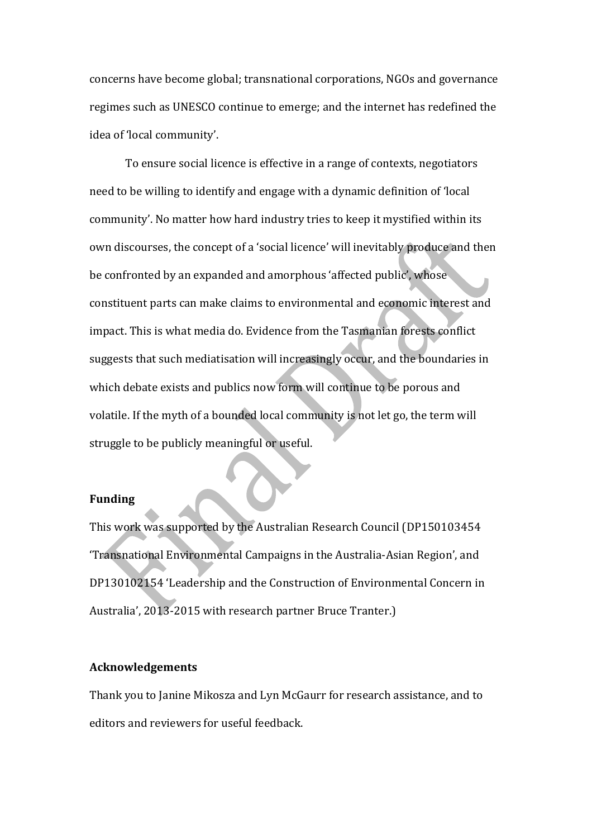concerns have become global; transnational corporations, NGOs and governance regimes such as UNESCO continue to emerge; and the internet has redefined the idea of 'local community'.

To ensure social licence is effective in a range of contexts, negotiators need to be willing to identify and engage with a dynamic definition of 'local community'. No matter how hard industry tries to keep it mystified within its own discourses, the concept of a 'social licence' will inevitably produce and then be confronted by an expanded and amorphous 'affected public', whose constituent parts can make claims to environmental and economic interest and impact. This is what media do. Evidence from the Tasmanian forests conflict suggests that such mediatisation will increasingly occur, and the boundaries in which debate exists and publics now form will continue to be porous and volatile. If the myth of a bounded local community is not let go, the term will struggle to be publicly meaningful or useful.

# **Funding**

This work was supported by the Australian Research Council (DP150103454 'Transnational Environmental Campaigns in the Australia-Asian Region', and DP130102154 'Leadership and the Construction of Environmental Concern in Australia', 2013-2015 with research partner Bruce Tranter.)

#### **Acknowledgements**

Thank you to Janine Mikosza and Lyn McGaurr for research assistance, and to editors and reviewers for useful feedback.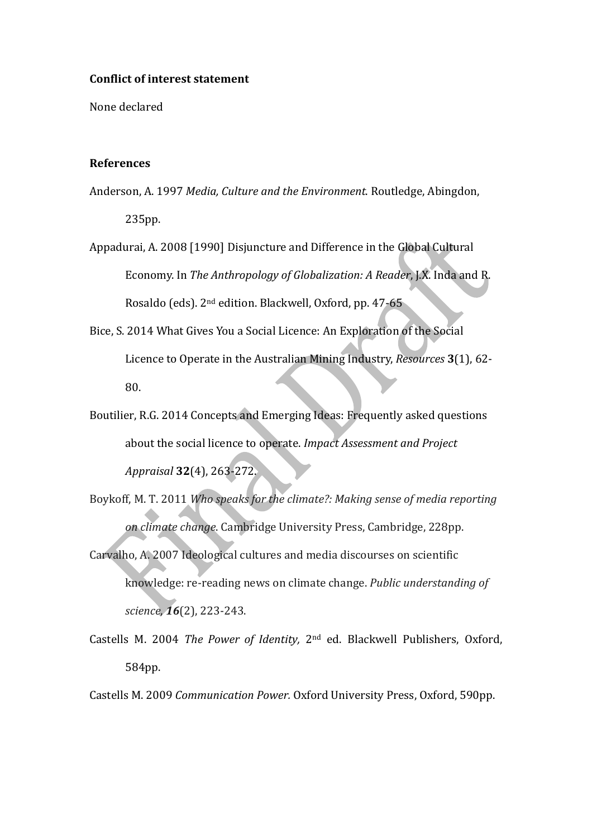#### **Conflict of interest statement**

None declared

## **References**

- Anderson, A. 1997 Media, Culture and the Environment. Routledge, Abingdon, 235pp.
- Appadurai, A. 2008 [1990] Disjuncture and Difference in the Global Cultural Economy. In *The Anthropology of Globalization: A Reader*, J.X. Inda and R. Rosaldo (eds). 2<sup>nd</sup> edition. Blackwell, Oxford, pp. 47-65
- Bice, S. 2014 What Gives You a Social Licence: An Exploration of the Social Licence to Operate in the Australian Mining Industry, *Resources* 3(1), 62-80.
- Boutilier, R.G. 2014 Concepts and Emerging Ideas: Frequently asked questions about the social licence to operate. *Impact Assessment and Project Appraisal* **32**(4), 263-272.
- Boykoff, M. T. 2011 Who speaks for the climate?: Making sense of media reporting *on climate change*. Cambridge University Press, Cambridge, 228pp.
- Carvalho, A. 2007 Ideological cultures and media discourses on scientific knowledge: re-reading news on climate change. *Public understanding of science*, **16**(2), 223-243.
- Castells M. 2004 *The Power of Identity*, 2<sup>nd</sup> ed. Blackwell Publishers, Oxford, 584pp.

Castells M. 2009 *Communication Power.* Oxford University Press, Oxford, 590pp.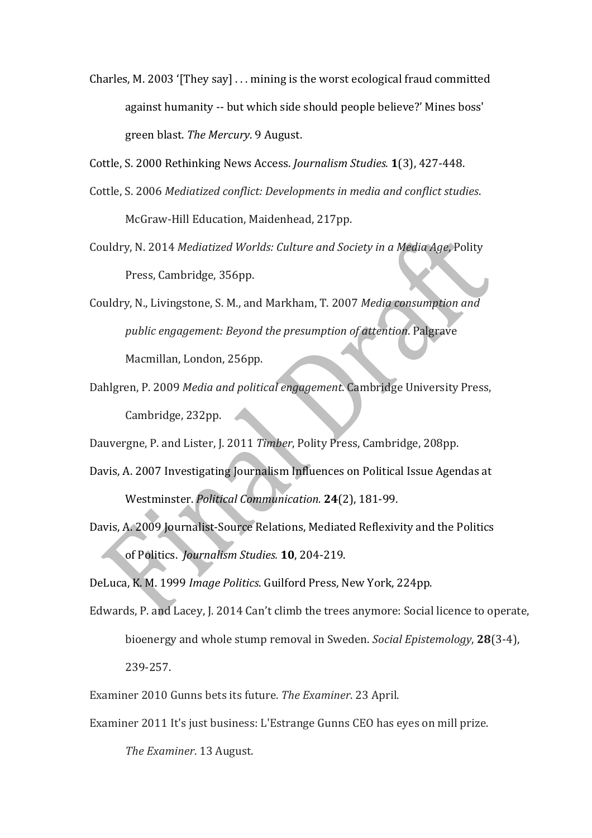Charles, M. 2003 '[They say]  $\dots$  mining is the worst ecological fraud committed against humanity -- but which side should people believe?' Mines boss' green blast. The Mercury. 9 August.

Cottle, S. 2000 Rethinking News Access. *Journalism Studies.* **1**(3), 427-448.

- Cottle, S. 2006 *Mediatized conflict: Developments in media and conflict studies.* McGraw-Hill Education, Maidenhead, 217pp.
- Couldry, N. 2014 Mediatized Worlds: Culture and Society in a Media Age, Polity Press, Cambridge, 356pp.
- Couldry, N., Livingstone, S. M., and Markham, T. 2007 *Media consumption and public* engagement: Beyond the presumption of attention. Palgrave Macmillan, London, 256pp.
- Dahlgren, P. 2009 *Media and political engagement*. Cambridge University Press, Cambridge, 232pp.

Dauvergne, P. and Lister, J. 2011 Timber, Polity Press, Cambridge, 208pp.

- Davis, A. 2007 Investigating Journalism Influences on Political Issue Agendas at Westminster. *Political Communication.* **24**(2), 181-99.
- Davis, A. 2009 Journalist-Source Relations, Mediated Reflexivity and the Politics of Politics. *Journalism Studies*. **10**, 204-219.

DeLuca, K. M. 1999 *Image Politics*. Guilford Press, New York, 224pp.

- Edwards, P. and Lacey, J. 2014 Can't climb the trees anymore: Social licence to operate, bioenergy and whole stump removal in Sweden. *Social Epistemology*, **28**(3-4), 239-257.
- Examiner 2010 Gunns bets its future. *The Examiner*. 23 April.
- Examiner 2011 It's just business: L'Estrange Gunns CEO has eyes on mill prize.

The Examiner. 13 August.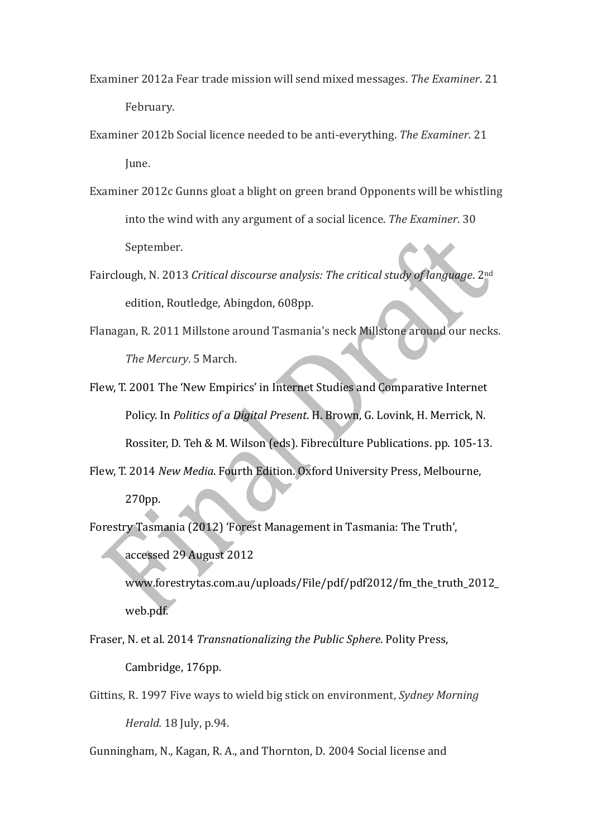- Examiner 2012a Fear trade mission will send mixed messages. The Examiner. 21 February.
- Examiner 2012b Social licence needed to be anti-everything. The Examiner. 21 June.
- Examiner 2012c Gunns gloat a blight on green brand Opponents will be whistling into the wind with any argument of a social licence. The Examiner. 30 September.
- Fairclough, N. 2013 *Critical discourse analysis: The critical study of language*. 2<sup>nd</sup> edition, Routledge, Abingdon, 608pp.
- Flanagan, R. 2011 Millstone around Tasmania's neck Millstone around our necks. The Mercury. 5 March.
- Flew, T. 2001 The 'New Empirics' in Internet Studies and Comparative Internet Policy. In *Politics of a Digital Present*. H. Brown, G. Lovink, H. Merrick, N. Rossiter, D. Teh & M. Wilson (eds). Fibreculture Publications. pp. 105-13.
- Flew, T. 2014 New Media. Fourth Edition. Oxford University Press, Melbourne,

# 270pp.

Forestry Tasmania (2012) 'Forest Management in Tasmania: The Truth', accessed 29 August 2012 

www.forestrytas.com.au/uploads/File/pdf/pdf2012/fm\_the\_truth\_2012\_ web.pdf.

Fraser, N. et al. 2014 *Transnationalizing the Public Sphere*. Polity Press, Cambridge, 176pp.

Gittins, R. 1997 Five ways to wield big stick on environment, *Sydney Morning Herald.* 18 July, p.94.

Gunningham, N., Kagan, R. A., and Thornton, D. 2004 Social license and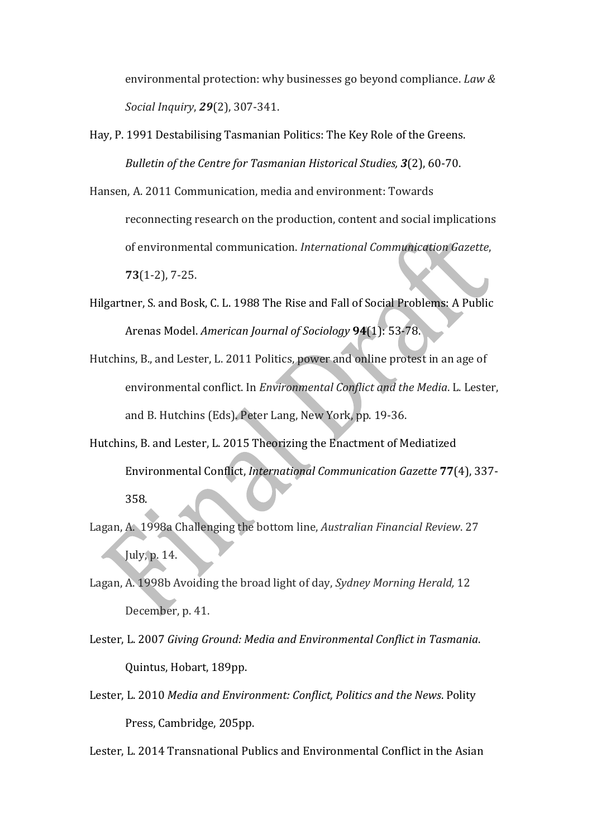environmental protection: why businesses go beyond compliance. *Law & Social Inquiry*, **29**(2), 307-341.

Hay, P. 1991 Destabilising Tasmanian Politics: The Key Role of the Greens. *Bulletin of the Centre for Tasmanian Historical Studies, 3(2), 60-70.* 

Hansen, A. 2011 Communication, media and environment: Towards reconnecting research on the production, content and social implications of environmental communication. *International Communication Gazette*, **73**(1-2), 7-25.

- Hilgartner, S. and Bosk, C. L. 1988 The Rise and Fall of Social Problems: A Public Arenas Model. *American Journal of Sociology* **94**(1): 53-78.
- Hutchins, B., and Lester, L. 2011 Politics, power and online protest in an age of environmental conflict. In *Environmental Conflict and the Media*. L. Lester, and B. Hutchins (Eds). Peter Lang, New York, pp. 19-36.
- Hutchins, B. and Lester, L. 2015 Theorizing the Enactment of Mediatized Environmental Conflict, *International Communication Gazette* **77**(4), 337- 358.
- Lagan, A. 1998a Challenging the bottom line, *Australian Financial Review.* 27 July, p. 14.
- Lagan, A. 1998b Avoiding the broad light of day, *Sydney Morning Herald*, 12 December, p. 41.
- Lester, L. 2007 *Giving Ground: Media and Environmental Conflict in Tasmania.* Quintus, Hobart, 189pp.
- Lester, L. 2010 Media and Environment: Conflict, Politics and the News. Polity Press, Cambridge, 205pp.

Lester, L. 2014 Transnational Publics and Environmental Conflict in the Asian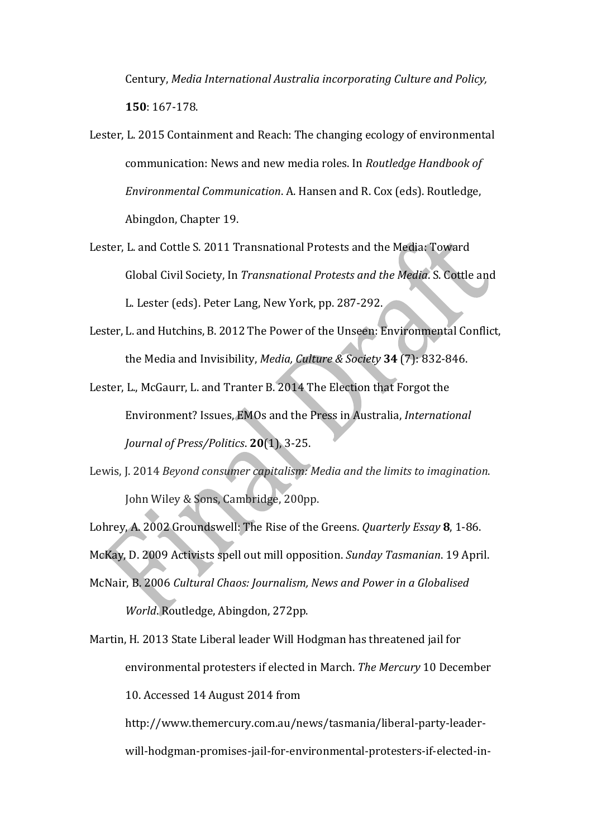Century, *Media International Australia incorporating Culture and Policy,* **150**: 167-178.

- Lester, L. 2015 Containment and Reach: The changing ecology of environmental communication: News and new media roles. In *Routledge Handbook of Environmental Communication.* A. Hansen and R. Cox (eds). Routledge, Abingdon, Chapter 19.
- Lester, L. and Cottle S. 2011 Transnational Protests and the Media: Toward Global Civil Society, In *Transnational Protests and the Media*. S. Cottle and L. Lester (eds). Peter Lang, New York, pp. 287-292.
- Lester, L. and Hutchins, B. 2012 The Power of the Unseen: Environmental Conflict, the Media and Invisibility, *Media, Culture & Society* **34** (7): 832-846.
- Lester, L., McGaurr, L. and Tranter B. 2014 The Election that Forgot the Environment? Issues, EMOs and the Press in Australia, *International Journal of Press/Politics*. **20**(1), 3-25.
- Lewis, J. 2014 *Beyond consumer capitalism: Media and the limits to imagination.* John Wiley & Sons, Cambridge, 200pp.
- Lohrey, A. 2002 Groundswell: The Rise of the Greens. *Quarterly Essay* 8, 1-86.
- McKay, D. 2009 Activists spell out mill opposition. *Sunday Tasmanian*. 19 April.
- McNair, B. 2006 Cultural Chaos: Journalism, News and Power in a Globalised World. Routledge, Abingdon, 272pp.
- Martin, H. 2013 State Liberal leader Will Hodgman has threatened jail for environmental protesters if elected in March. The Mercury 10 December 10. Accessed 14 August 2014 from http://www.themercury.com.au/news/tasmania/liberal-party-leader
	- will-hodgman-promises-jail-for-environmental-protesters-if-elected-in-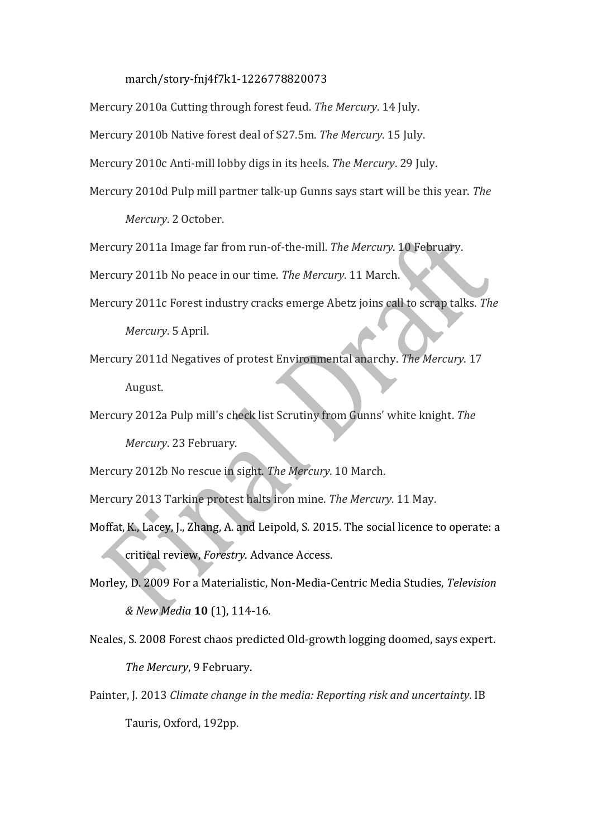#### march/story-fnj4f7k1-1226778820073

Mercury 2010a Cutting through forest feud. The Mercury. 14 July.

Mercury 2010b Native forest deal of \$27.5m. The Mercury. 15 July.

Mercury 2010c Anti-mill lobby digs in its heels. The Mercury. 29 July.

Mercury 2010d Pulp mill partner talk-up Gunns says start will be this year. The

*Mercury*. 2 October.

Mercury 2011a Image far from run-of-the-mill. The Mercury. 10 February.

Mercury 2011b No peace in our time. The Mercury. 11 March.

- Mercury 2011c Forest industry cracks emerge Abetz joins call to scrap talks. The *Mercury*. 5 April.
- Mercury 2011d Negatives of protest Environmental anarchy. The Mercury. 17 August.

Mercury 2012a Pulp mill's check list Scrutiny from Gunns' white knight. The *Mercury*. 23 February. 

Mercury 2012b No rescue in sight. The Mercury. 10 March.

Mercury 2013 Tarkine protest halts iron mine. The Mercury. 11 May.

- Moffat, K., Lacey, J., Zhang, A. and Leipold, S. 2015. The social licence to operate: a critical review, Forestry. Advance Access.
- Morley, D. 2009 For a Materialistic, Non-Media-Centric Media Studies, *Television & New Media* **10** (1), 114-16.
- Neales, S. 2008 Forest chaos predicted Old-growth logging doomed, says expert. The Mercury, 9 February.
- Painter, J. 2013 *Climate change in the media: Reporting risk and uncertainty*. IB Tauris, Oxford, 192pp.